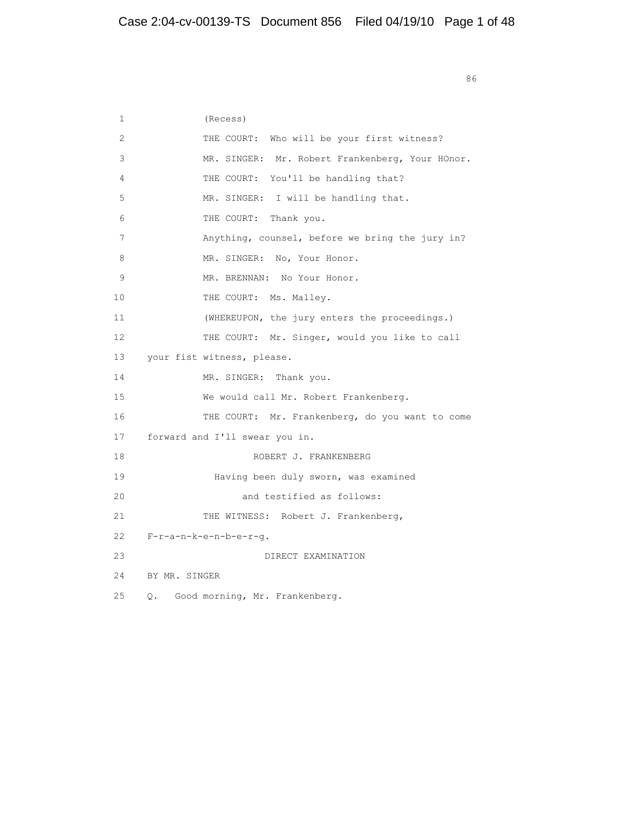<u>86 September 2006 September 2006 September 2006 September 2006 September 2006 September 2006 September 2006 S</u>

| $\mathbf{1}$    | (Recess)                                        |
|-----------------|-------------------------------------------------|
| 2               | THE COURT: Who will be your first witness?      |
| 3               | MR. SINGER: Mr. Robert Frankenberg, Your HOnor. |
| 4               | THE COURT: You'll be handling that?             |
| 5               | MR. SINGER: I will be handling that.            |
| 6               | THE COURT: Thank you.                           |
| 7               | Anything, counsel, before we bring the jury in? |
| 8               | MR. SINGER: No, Your Honor.                     |
| 9               | MR. BRENNAN: No Your Honor.                     |
| 10              | THE COURT: Ms. Malley.                          |
| 11              | (WHEREUPON, the jury enters the proceedings.)   |
| 12 <sup>2</sup> | THE COURT: Mr. Singer, would you like to call   |
| 13              | your fist witness, please.                      |
| 14              | MR. SINGER: Thank you.                          |
| 15              | We would call Mr. Robert Frankenberg.           |
| 16              | THE COURT: Mr. Frankenberg, do you want to come |
| 17              | forward and I'll swear you in.                  |
| 18              | ROBERT J. FRANKENBERG                           |
| 19              | Having been duly sworn, was examined            |
| 20              | and testified as follows:                       |
| 2.1             | THE WITNESS: Robert J. Frankenberg,             |
| 22              | $F-r-a-n-k-e-n-b-e-r-q.$                        |
| 23              | DIRECT EXAMINATION                              |
| 24              | BY MR. SINGER                                   |
| 25              | Good morning, Mr. Frankenberg.<br>О.            |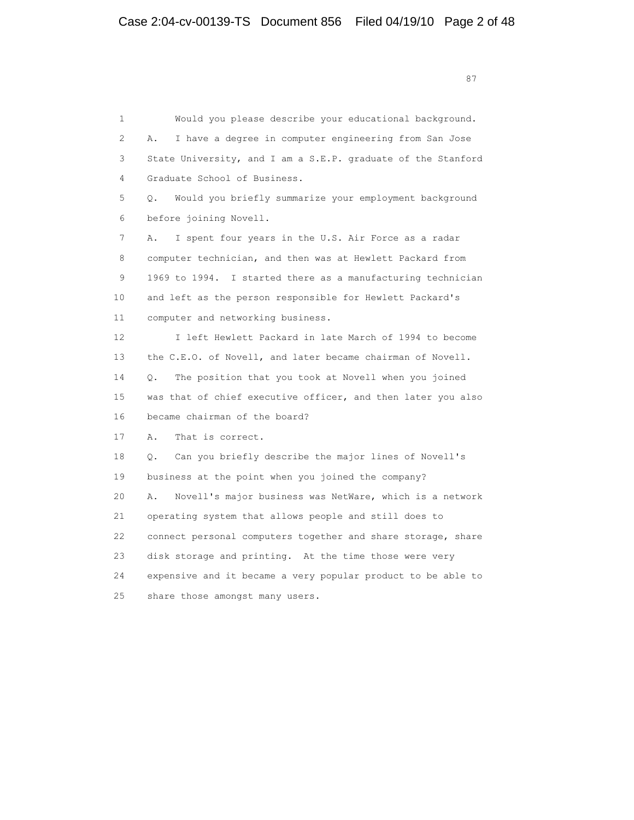1 Would you please describe your educational background. 2 A. I have a degree in computer engineering from San Jose 3 State University, and I am a S.E.P. graduate of the Stanford 4 Graduate School of Business. 5 Q. Would you briefly summarize your employment background 6 before joining Novell. 7 A. I spent four years in the U.S. Air Force as a radar 8 computer technician, and then was at Hewlett Packard from 9 1969 to 1994. I started there as a manufacturing technician 10 and left as the person responsible for Hewlett Packard's 11 computer and networking business. 12 I left Hewlett Packard in late March of 1994 to become 13 the C.E.O. of Novell, and later became chairman of Novell. 14 Q. The position that you took at Novell when you joined 15 was that of chief executive officer, and then later you also 16 became chairman of the board? 17 A. That is correct. 18 Q. Can you briefly describe the major lines of Novell's 19 business at the point when you joined the company? 20 A. Novell's major business was NetWare, which is a network 21 operating system that allows people and still does to 22 connect personal computers together and share storage, share 23 disk storage and printing. At the time those were very 24 expensive and it became a very popular product to be able to 25 share those amongst many users.

87 and 2012 and 2012 and 2012 and 2012 and 2012 and 2012 and 2012 and 2012 and 2012 and 2012 and 201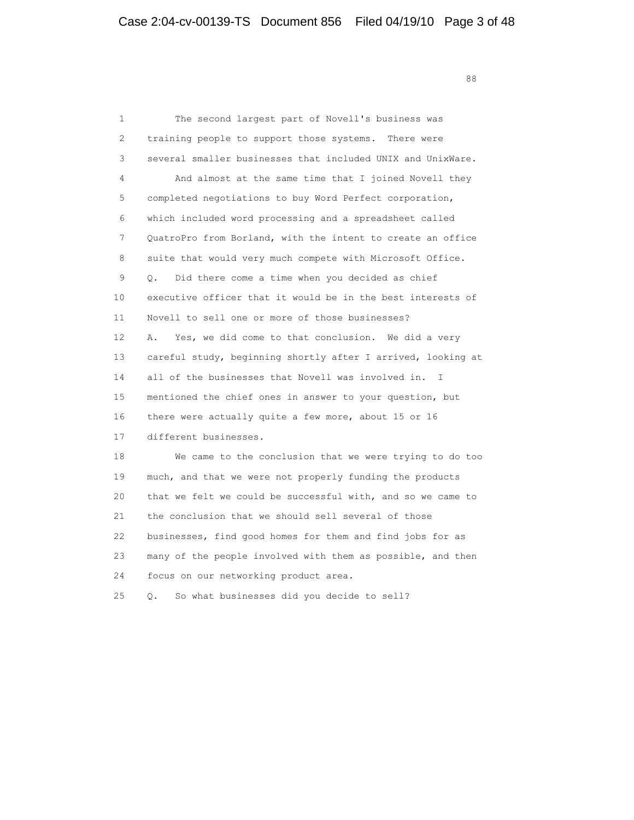en de la construction de la construction de la construction de la construction de la construction de la construction de la construction de la construction de la construction de la construction de la construction de la cons

| 1   | The second largest part of Novell's business was             |
|-----|--------------------------------------------------------------|
| 2   | training people to support those systems. There were         |
| 3   | several smaller businesses that included UNIX and UnixWare.  |
| 4   | And almost at the same time that I joined Novell they        |
| 5   | completed negotiations to buy Word Perfect corporation,      |
| 6   | which included word processing and a spreadsheet called      |
| 7   | QuatroPro from Borland, with the intent to create an office  |
| 8   | suite that would very much compete with Microsoft Office.    |
| 9   | Did there come a time when you decided as chief<br>$\circ$ . |
| 10  | executive officer that it would be in the best interests of  |
| 11  | Novell to sell one or more of those businesses?              |
| 12. | Yes, we did come to that conclusion. We did a very<br>Α.     |
| 13  | careful study, beginning shortly after I arrived, looking at |
| 14  | all of the businesses that Novell was involved in. I         |
| 15  | mentioned the chief ones in answer to your question, but     |
| 16  | there were actually quite a few more, about 15 or 16         |
| 17  | different businesses.                                        |
| 18  | We came to the conclusion that we were trying to do too      |
| 19  | much, and that we were not properly funding the products     |
| 20  | that we felt we could be successful with, and so we came to  |
| 21  | the conclusion that we should sell several of those          |
| 22  | businesses, find good homes for them and find jobs for as    |
| 23  | many of the people involved with them as possible, and then  |
| 24  | focus on our networking product area.                        |
|     |                                                              |

25 Q. So what businesses did you decide to sell?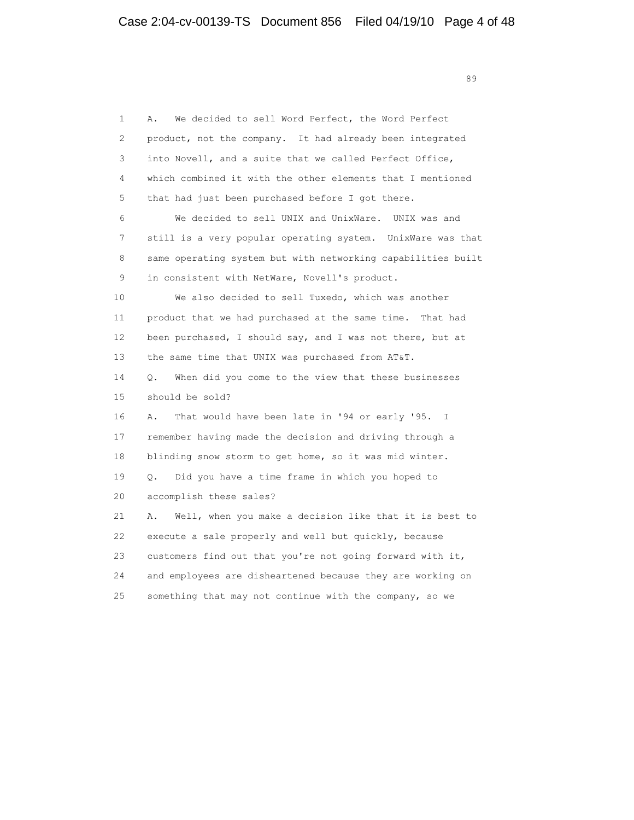<u>89</u>

| $\mathbf{1}$ | We decided to sell Word Perfect, the Word Perfect<br>Α.              |
|--------------|----------------------------------------------------------------------|
| 2            | product, not the company. It had already been integrated             |
| 3            | into Novell, and a suite that we called Perfect Office,              |
| 4            | which combined it with the other elements that I mentioned           |
| 5            | that had just been purchased before I got there.                     |
| 6            | We decided to sell UNIX and UnixWare. UNIX was and                   |
| 7            | still is a very popular operating system. UnixWare was that          |
| 8            | same operating system but with networking capabilities built         |
| 9            | in consistent with NetWare, Novell's product.                        |
| 10           | We also decided to sell Tuxedo, which was another                    |
| 11           | product that we had purchased at the same time. That had             |
| 12           | been purchased, I should say, and I was not there, but at            |
| 13           | the same time that UNIX was purchased from AT&T.                     |
| 14           | When did you come to the view that these businesses<br>0.            |
| 15           | should be sold?                                                      |
| 16           | That would have been late in '94 or early '95.<br>$\mathbf{I}$<br>Α. |
| 17           | remember having made the decision and driving through a              |
| 18           | blinding snow storm to get home, so it was mid winter.               |
| 19           | Did you have a time frame in which you hoped to<br>О.                |
| 20           | accomplish these sales?                                              |
| 21           | Well, when you make a decision like that it is best to<br>Α.         |
| 22           | execute a sale properly and well but quickly, because                |
| 23           | customers find out that you're not going forward with it,            |
| 24           | and employees are disheartened because they are working on           |
| 25           | something that may not continue with the company, so we              |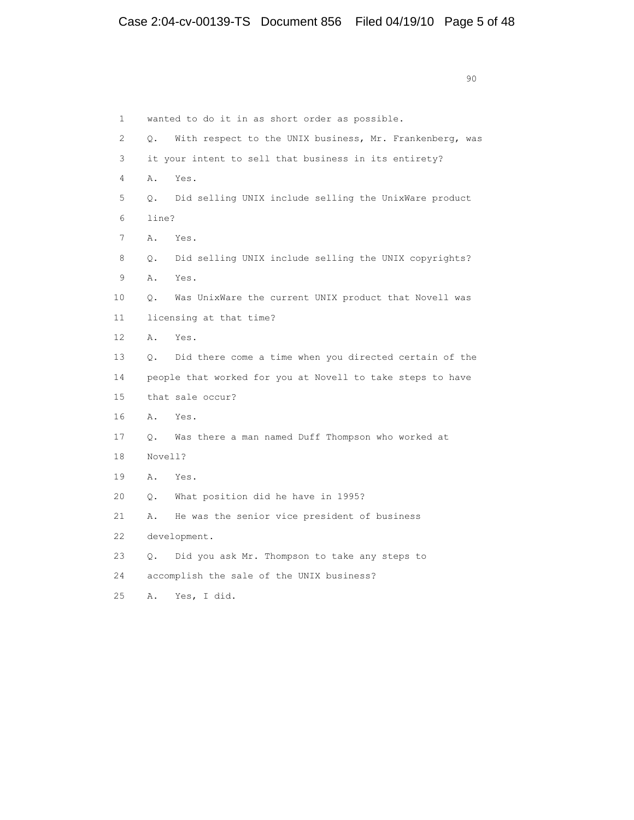| $\mathbf{1}$ |           | wanted to do it in as short order as possible.             |
|--------------|-----------|------------------------------------------------------------|
| 2            | Q.        | With respect to the UNIX business, Mr. Frankenberg, was    |
| 3            |           | it your intent to sell that business in its entirety?      |
| 4            | Α.        | Yes.                                                       |
| 5            | $\circ$ . | Did selling UNIX include selling the UnixWare product      |
| 6            | line?     |                                                            |
| 7            | Α.        | Yes.                                                       |
| 8            | $\circ$ . | Did selling UNIX include selling the UNIX copyrights?      |
| 9            | Α.        | Yes.                                                       |
| 10           | Q.        | Was UnixWare the current UNIX product that Novell was      |
| 11           |           | licensing at that time?                                    |
| 12           | Α.        | Yes.                                                       |
| 13           | $\circ$ . | Did there come a time when you directed certain of the     |
| 14           |           | people that worked for you at Novell to take steps to have |
| 15           |           | that sale occur?                                           |
| 16           | A.        | Yes.                                                       |
| 17           | $\circ$ . | Was there a man named Duff Thompson who worked at          |
| 18           | Novell?   |                                                            |
| 19           | Α.        | Yes.                                                       |
| 20           | О.        | What position did he have in 1995?                         |
| 21           | Α.        | He was the senior vice president of business               |
| 22           |           | development.                                               |
| 23           | Q.        | Did you ask Mr. Thompson to take any steps to              |
| 24           |           | accomplish the sale of the UNIX business?                  |
| 25           | Α.        | Yes, I did.                                                |

en de la construction de la construction de la construction de la construction de la construction de la constr<br>1900 : la construction de la construction de la construction de la construction de la construction de la const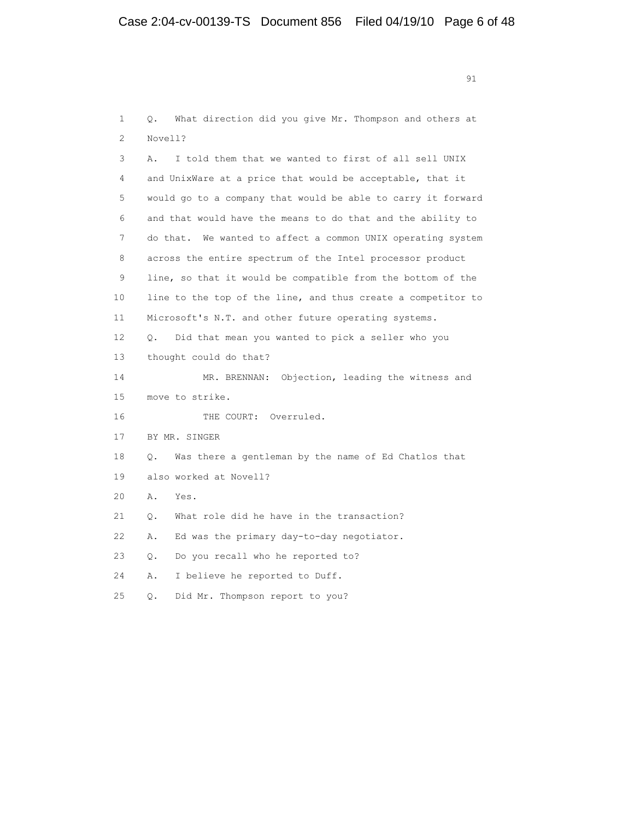extended to the contract of the contract of the contract of the contract of the contract of the contract of the contract of the contract of the contract of the contract of the contract of the contract of the contract of th

 1 Q. What direction did you give Mr. Thompson and others at 2 Novell? 3 A. I told them that we wanted to first of all sell UNIX 4 and UnixWare at a price that would be acceptable, that it 5 would go to a company that would be able to carry it forward 6 and that would have the means to do that and the ability to 7 do that. We wanted to affect a common UNIX operating system 8 across the entire spectrum of the Intel processor product 9 line, so that it would be compatible from the bottom of the 10 line to the top of the line, and thus create a competitor to 11 Microsoft's N.T. and other future operating systems. 12 Q. Did that mean you wanted to pick a seller who you 13 thought could do that? 14 MR. BRENNAN: Objection, leading the witness and 15 move to strike. 16 THE COURT: Overruled. 17 BY MR. SINGER 18 Q. Was there a gentleman by the name of Ed Chatlos that 19 also worked at Novell? 20 A. Yes. 21 Q. What role did he have in the transaction? 22 A. Ed was the primary day-to-day negotiator. 23 Q. Do you recall who he reported to? 24 A. I believe he reported to Duff. 25 Q. Did Mr. Thompson report to you?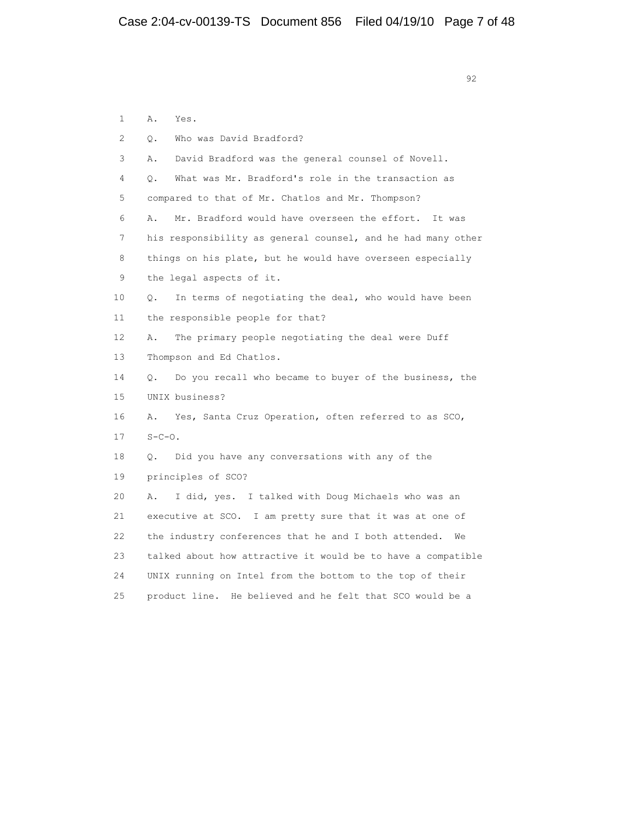1 A. Yes. 2 Q. Who was David Bradford? 3 A. David Bradford was the general counsel of Novell. 4 Q. What was Mr. Bradford's role in the transaction as 5 compared to that of Mr. Chatlos and Mr. Thompson? 6 A. Mr. Bradford would have overseen the effort. It was 7 his responsibility as general counsel, and he had many other 8 things on his plate, but he would have overseen especially 9 the legal aspects of it. 10 Q. In terms of negotiating the deal, who would have been 11 the responsible people for that? 12 A. The primary people negotiating the deal were Duff 13 Thompson and Ed Chatlos. 14 Q. Do you recall who became to buyer of the business, the 15 UNIX business? 16 A. Yes, Santa Cruz Operation, often referred to as SCO, 17 S-C-O. 18 Q. Did you have any conversations with any of the 19 principles of SCO? 20 A. I did, yes. I talked with Doug Michaels who was an 21 executive at SCO. I am pretty sure that it was at one of 22 the industry conferences that he and I both attended. We 23 talked about how attractive it would be to have a compatible 24 UNIX running on Intel from the bottom to the top of their

25 product line. He believed and he felt that SCO would be a

```
\sim 92
```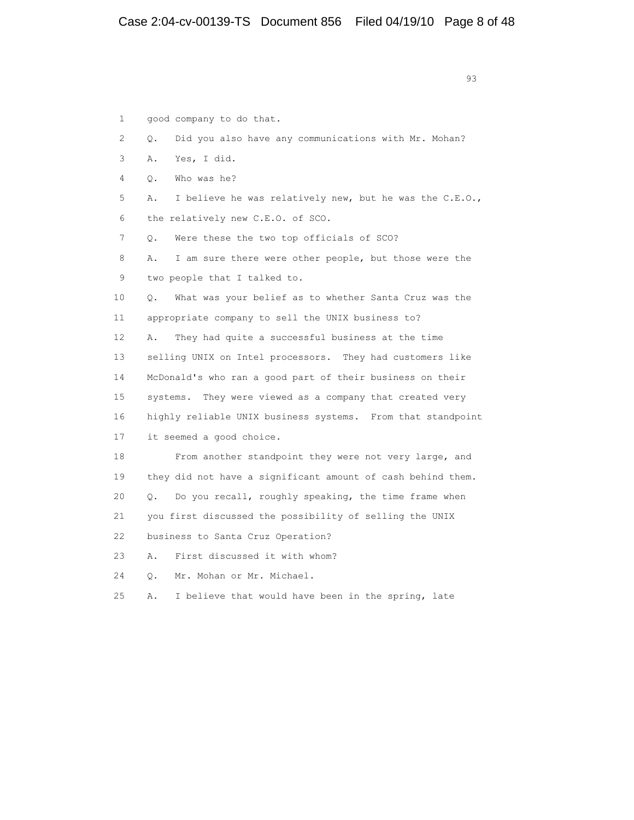93 and 2012 and 2013 and 2013 and 2013 and 2013 and 2013 and 2013 and 2013 and 2013 and 2013 and 2013 and 2013

| 1  | good company to do that.                                      |
|----|---------------------------------------------------------------|
| 2  | Did you also have any communications with Mr. Mohan?<br>О.    |
| 3  | Yes, I did.<br>Α.                                             |
| 4  | Who was he?<br>О.                                             |
| 5  | I believe he was relatively new, but he was the C.E.O.,<br>Α. |
| 6  | the relatively new C.E.O. of SCO.                             |
| 7  | Were these the two top officials of SCO?<br>О.                |
| 8  | I am sure there were other people, but those were the<br>Α.   |
| 9  | two people that I talked to.                                  |
| 10 | What was your belief as to whether Santa Cruz was the<br>О.   |
| 11 | appropriate company to sell the UNIX business to?             |
| 12 | They had quite a successful business at the time<br>Α.        |
| 13 | selling UNIX on Intel processors. They had customers like     |
| 14 | McDonald's who ran a good part of their business on their     |
| 15 | systems. They were viewed as a company that created very      |
| 16 | highly reliable UNIX business systems. From that standpoint   |
| 17 | it seemed a good choice.                                      |
| 18 | From another standpoint they were not very large, and         |
| 19 | they did not have a significant amount of cash behind them.   |
| 20 | Do you recall, roughly speaking, the time frame when<br>О.    |
| 21 | you first discussed the possibility of selling the UNIX       |
| 22 | business to Santa Cruz Operation?                             |
| 23 | First discussed it with whom?<br>Α.                           |
| 24 | Mr. Mohan or Mr. Michael.<br>Ο.                               |
| 25 | I believe that would have been in the spring, late<br>Α.      |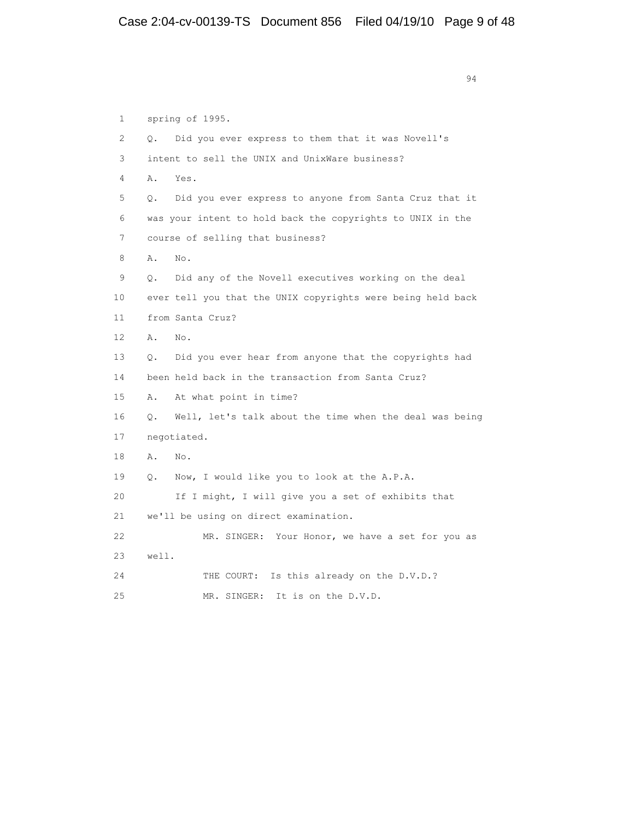94 1 spring of 1995. 2 Q. Did you ever express to them that it was Novell's 3 intent to sell the UNIX and UnixWare business? 4 A. Yes. 5 Q. Did you ever express to anyone from Santa Cruz that it 6 was your intent to hold back the copyrights to UNIX in the 7 course of selling that business? 8 A. No. 9 Q. Did any of the Novell executives working on the deal 10 ever tell you that the UNIX copyrights were being held back 11 from Santa Cruz? 12 A. No. 13 Q. Did you ever hear from anyone that the copyrights had 14 been held back in the transaction from Santa Cruz? 15 A. At what point in time? 16 Q. Well, let's talk about the time when the deal was being 17 negotiated. 18 A. No. 19 Q. Now, I would like you to look at the A.P.A. 20 If I might, I will give you a set of exhibits that 21 we'll be using on direct examination. 22 MR. SINGER: Your Honor, we have a set for you as 23 well. 24 THE COURT: Is this already on the D.V.D.? 25 MR. SINGER: It is on the D.V.D.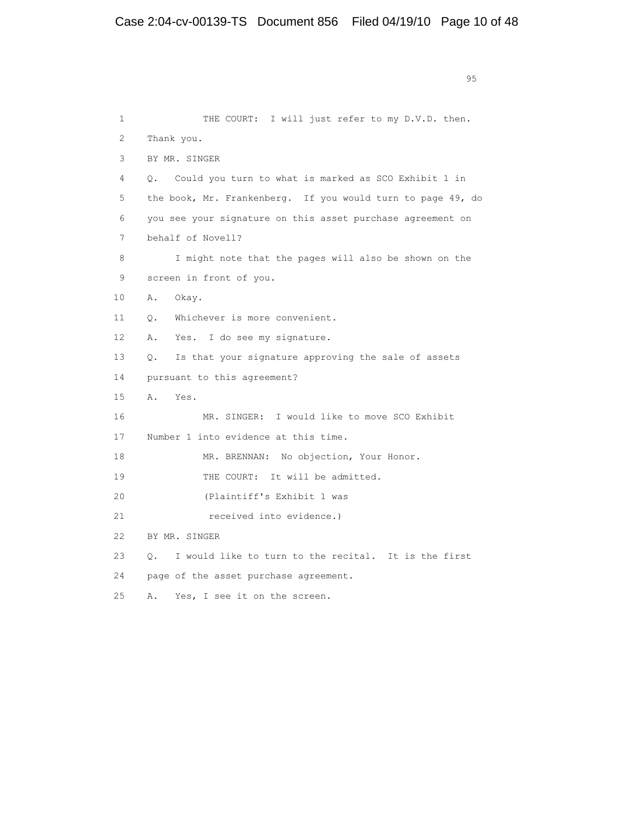experience of the contract of the contract of the contract of the contract of the contract of the contract of the contract of the contract of the contract of the contract of the contract of the contract of the contract of 1 THE COURT: I will just refer to my D.V.D. then. 2 Thank you. 3 BY MR. SINGER 4 Q. Could you turn to what is marked as SCO Exhibit 1 in 5 the book, Mr. Frankenberg. If you would turn to page 49, do 6 you see your signature on this asset purchase agreement on 7 behalf of Novell? 8 I might note that the pages will also be shown on the 9 screen in front of you. 10 A. Okay. 11 Q. Whichever is more convenient. 12 A. Yes. I do see my signature. 13 Q. Is that your signature approving the sale of assets 14 pursuant to this agreement? 15 A. Yes. 16 MR. SINGER: I would like to move SCO Exhibit 17 Number 1 into evidence at this time. 18 MR. BRENNAN: No objection, Your Honor. 19 THE COURT: It will be admitted. 20 (Plaintiff's Exhibit 1 was 21 **received into evidence.**) 22 BY MR. SINGER 23 Q. I would like to turn to the recital. It is the first 24 page of the asset purchase agreement. 25 A. Yes, I see it on the screen.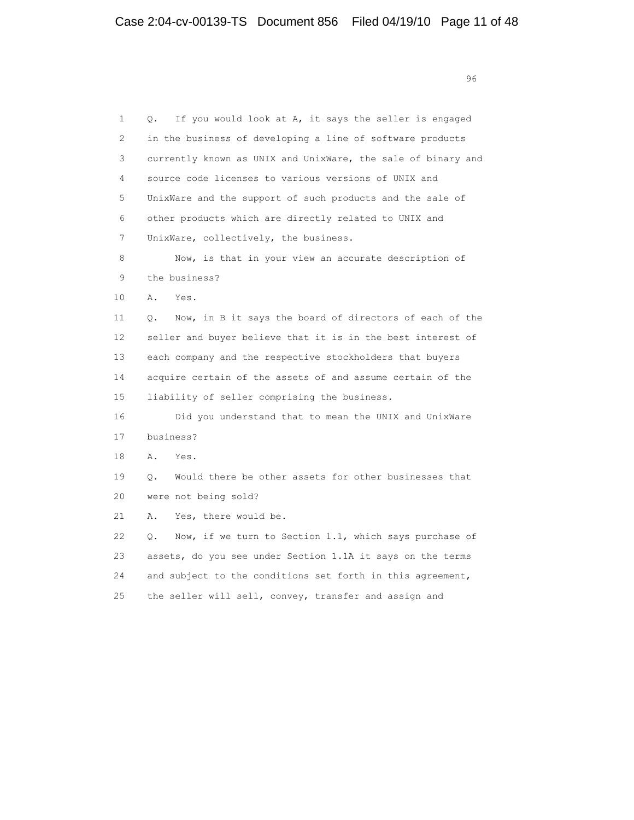en de la construction de la construction de la construction de la construction de la construction de la constr<br>1960 : la construction de la construction de la construction de la construction de la construction de la const

| 1  | If you would look at A, it says the seller is engaged<br>О.   |
|----|---------------------------------------------------------------|
| 2  | in the business of developing a line of software products     |
| 3  | currently known as UNIX and UnixWare, the sale of binary and  |
| 4  | source code licenses to various versions of UNIX and          |
| 5  | UnixWare and the support of such products and the sale of     |
| 6  | other products which are directly related to UNIX and         |
| 7  | UnixWare, collectively, the business.                         |
| 8  | Now, is that in your view an accurate description of          |
| 9  | the business?                                                 |
| 10 | Α.<br>Yes.                                                    |
| 11 | Now, in B it says the board of directors of each of the<br>О. |
| 12 | seller and buyer believe that it is in the best interest of   |
| 13 | each company and the respective stockholders that buyers      |
| 14 | acquire certain of the assets of and assume certain of the    |
| 15 | liability of seller comprising the business.                  |
| 16 | Did you understand that to mean the UNIX and UnixWare         |
| 17 | business?                                                     |
| 18 | Α.<br>Yes.                                                    |
| 19 | Would there be other assets for other businesses that<br>О.   |
| 20 | were not being sold?                                          |
| 21 | Yes, there would be.<br>Α.                                    |
| 22 | Now, if we turn to Section 1.1, which says purchase of<br>О.  |
| 23 | assets, do you see under Section 1.1A it says on the terms    |
| 24 | and subject to the conditions set forth in this agreement,    |
| 25 | the seller will sell, convey, transfer and assign and         |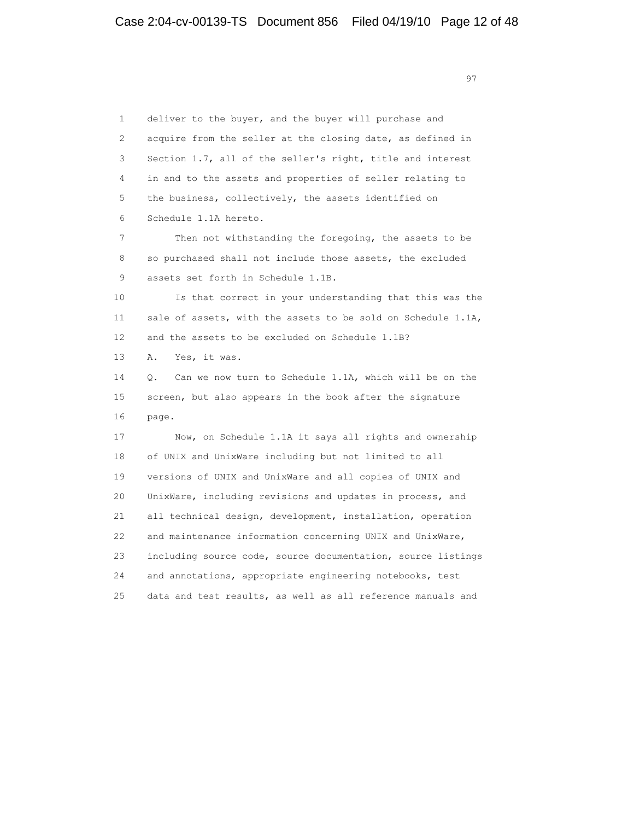1 deliver to the buyer, and the buyer will purchase and 2 acquire from the seller at the closing date, as defined in 3 Section 1.7, all of the seller's right, title and interest 4 in and to the assets and properties of seller relating to 5 the business, collectively, the assets identified on 6 Schedule 1.1A hereto. 7 Then not withstanding the foregoing, the assets to be 8 so purchased shall not include those assets, the excluded 9 assets set forth in Schedule 1.1B. 10 Is that correct in your understanding that this was the 11 sale of assets, with the assets to be sold on Schedule 1.1A, 12 and the assets to be excluded on Schedule 1.1B? 13 A. Yes, it was. 14 Q. Can we now turn to Schedule 1.1A, which will be on the 15 screen, but also appears in the book after the signature 16 page. 17 Now, on Schedule 1.1A it says all rights and ownership 18 of UNIX and UnixWare including but not limited to all 19 versions of UNIX and UnixWare and all copies of UNIX and 20 UnixWare, including revisions and updates in process, and 21 all technical design, development, installation, operation 22 and maintenance information concerning UNIX and UnixWare, 23 including source code, source documentation, source listings 24 and annotations, appropriate engineering notebooks, test 25 data and test results, as well as all reference manuals and

97 and 2012 and 2012 and 2012 and 2012 and 2012 and 2012 and 2012 and 2012 and 2012 and 2012 and 201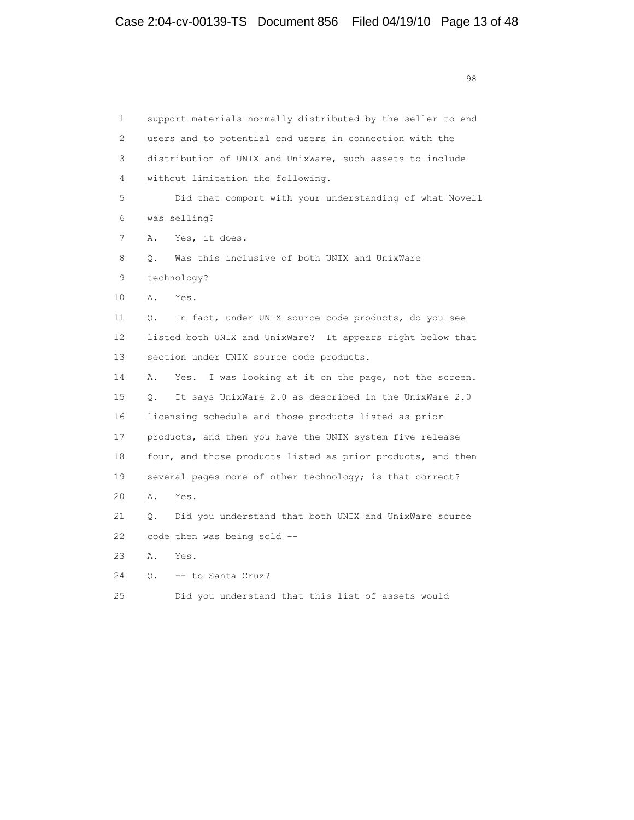1 support materials normally distributed by the seller to end 2 users and to potential end users in connection with the 3 distribution of UNIX and UnixWare, such assets to include 4 without limitation the following. 5 Did that comport with your understanding of what Novell 6 was selling? 7 A. Yes, it does. 8 Q. Was this inclusive of both UNIX and UnixWare 9 technology? 10 A. Yes. 11 Q. In fact, under UNIX source code products, do you see 12 listed both UNIX and UnixWare? It appears right below that 13 section under UNIX source code products. 14 A. Yes. I was looking at it on the page, not the screen. 15 Q. It says UnixWare 2.0 as described in the UnixWare 2.0 16 licensing schedule and those products listed as prior 17 products, and then you have the UNIX system five release 18 four, and those products listed as prior products, and then 19 several pages more of other technology; is that correct? 20 A. Yes. 21 Q. Did you understand that both UNIX and UnixWare source 22 code then was being sold -- 23 A. Yes. 24 Q. -- to Santa Cruz? 25 Did you understand that this list of assets would

98 and 2012 and 2012 and 2012 and 2012 and 2012 and 2012 and 2012 and 2012 and 2012 and 2012 and 201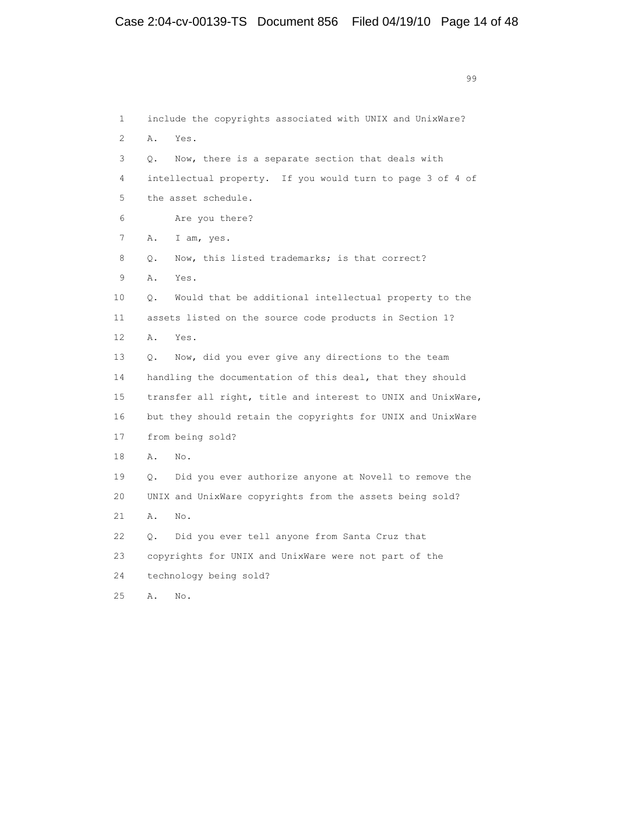99 and 2012 and 2012 and 2012 and 2012 and 2012 and 2012 and 2012 and 2012 and 2012 and 2012 and 201 1 include the copyrights associated with UNIX and UnixWare? 2 A. Yes. 3 Q. Now, there is a separate section that deals with 4 intellectual property. If you would turn to page 3 of 4 of 5 the asset schedule. 6 Are you there? 7 A. I am, yes. 8 Q. Now, this listed trademarks; is that correct? 9 A. Yes. 10 Q. Would that be additional intellectual property to the 11 assets listed on the source code products in Section 1? 12 A. Yes. 13 Q. Now, did you ever give any directions to the team 14 handling the documentation of this deal, that they should 15 transfer all right, title and interest to UNIX and UnixWare, 16 but they should retain the copyrights for UNIX and UnixWare 17 from being sold? 18 A. No. 19 Q. Did you ever authorize anyone at Novell to remove the 20 UNIX and UnixWare copyrights from the assets being sold? 21 A. No. 22 Q. Did you ever tell anyone from Santa Cruz that 23 copyrights for UNIX and UnixWare were not part of the 24 technology being sold? 25 A. No.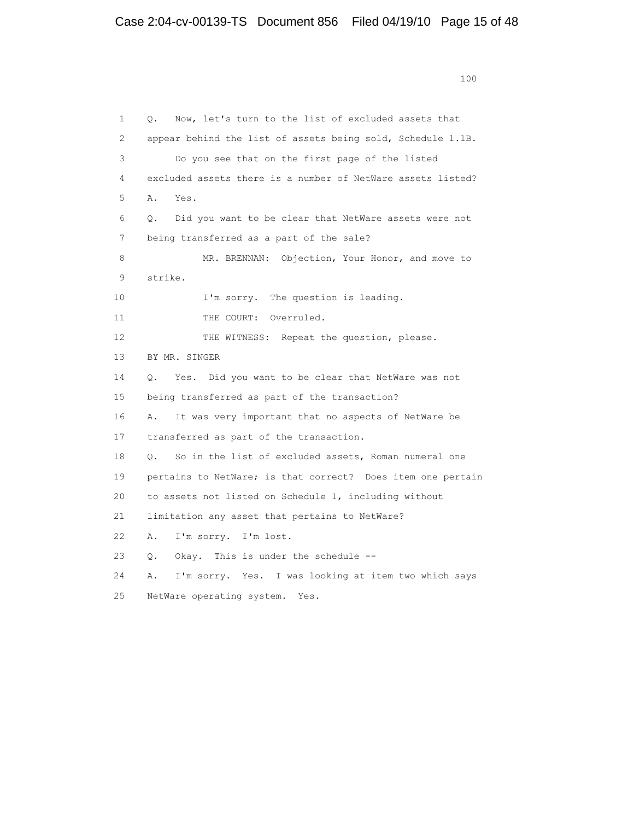1 Q. Now, let's turn to the list of excluded assets that 2 appear behind the list of assets being sold, Schedule 1.1B. 3 Do you see that on the first page of the listed 4 excluded assets there is a number of NetWare assets listed? 5 A. Yes. 6 Q. Did you want to be clear that NetWare assets were not 7 being transferred as a part of the sale? 8 MR. BRENNAN: Objection, Your Honor, and move to 9 strike. 10 I'm sorry. The question is leading. 11 THE COURT: Overruled. 12 THE WITNESS: Repeat the question, please. 13 BY MR. SINGER 14 Q. Yes. Did you want to be clear that NetWare was not 15 being transferred as part of the transaction? 16 A. It was very important that no aspects of NetWare be 17 transferred as part of the transaction. 18 Q. So in the list of excluded assets, Roman numeral one 19 pertains to NetWare; is that correct? Does item one pertain 20 to assets not listed on Schedule 1, including without 21 limitation any asset that pertains to NetWare? 22 A. I'm sorry. I'm lost. 23 Q. Okay. This is under the schedule -- 24 A. I'm sorry. Yes. I was looking at item two which says 25 NetWare operating system. Yes.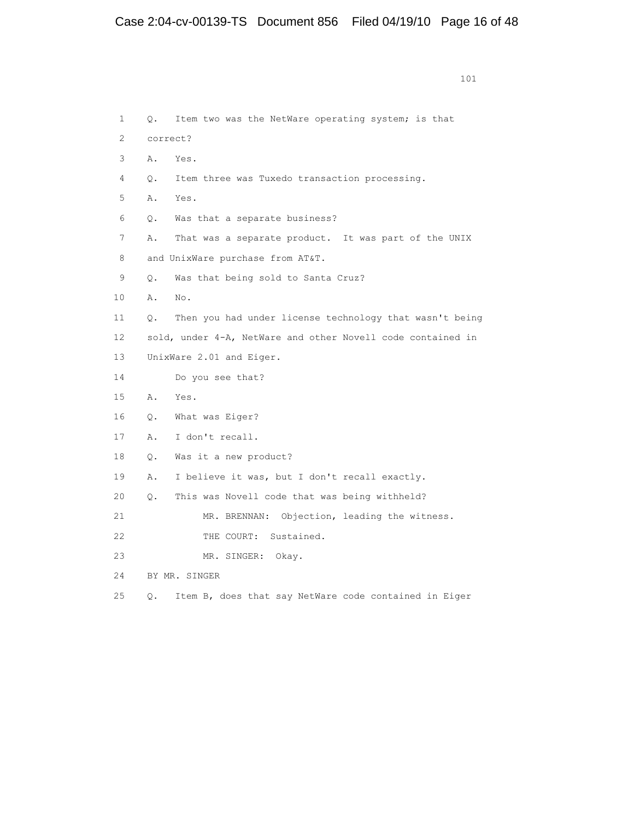1 Q. Item two was the NetWare operating system; is that 2 correct? 3 A. Yes. 4 Q. Item three was Tuxedo transaction processing. 5 A. Yes. 6 Q. Was that a separate business? 7 A. That was a separate product. It was part of the UNIX 8 and UnixWare purchase from AT&T. 9 Q. Was that being sold to Santa Cruz? 10 A. No. 11 Q. Then you had under license technology that wasn't being 12 sold, under 4-A, NetWare and other Novell code contained in 13 UnixWare 2.01 and Eiger. 14 Do you see that? 15 A. Yes. 16 Q. What was Eiger? 17 A. I don't recall. 18 Q. Was it a new product? 19 A. I believe it was, but I don't recall exactly. 20 Q. This was Novell code that was being withheld? 21 MR. BRENNAN: Objection, leading the witness. 22 THE COURT: Sustained. 23 MR. SINGER: Okay. 24 BY MR. SINGER 25 Q. Item B, does that say NetWare code contained in Eiger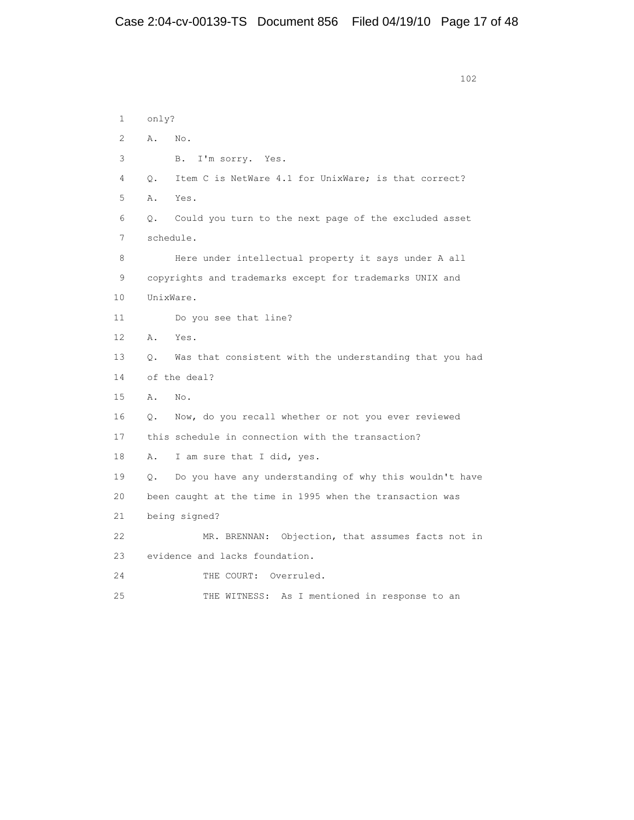```
 102
  1 only?
  2 A. No.
  3 B. I'm sorry. Yes.
  4 Q. Item C is NetWare 4.1 for UnixWare; is that correct?
  5 A. Yes.
  6 Q. Could you turn to the next page of the excluded asset
  7 schedule.
  8 Here under intellectual property it says under A all
  9 copyrights and trademarks except for trademarks UNIX and
 10 UnixWare.
 11 Do you see that line?
 12 A. Yes.
 13 Q. Was that consistent with the understanding that you had
 14 of the deal?
 15 A. No.
 16 Q. Now, do you recall whether or not you ever reviewed
 17 this schedule in connection with the transaction?
 18 A. I am sure that I did, yes.
 19 Q. Do you have any understanding of why this wouldn't have
 20 been caught at the time in 1995 when the transaction was
 21 being signed?
 22 MR. BRENNAN: Objection, that assumes facts not in
 23 evidence and lacks foundation.
24 THE COURT: Overruled.
 25 THE WITNESS: As I mentioned in response to an
```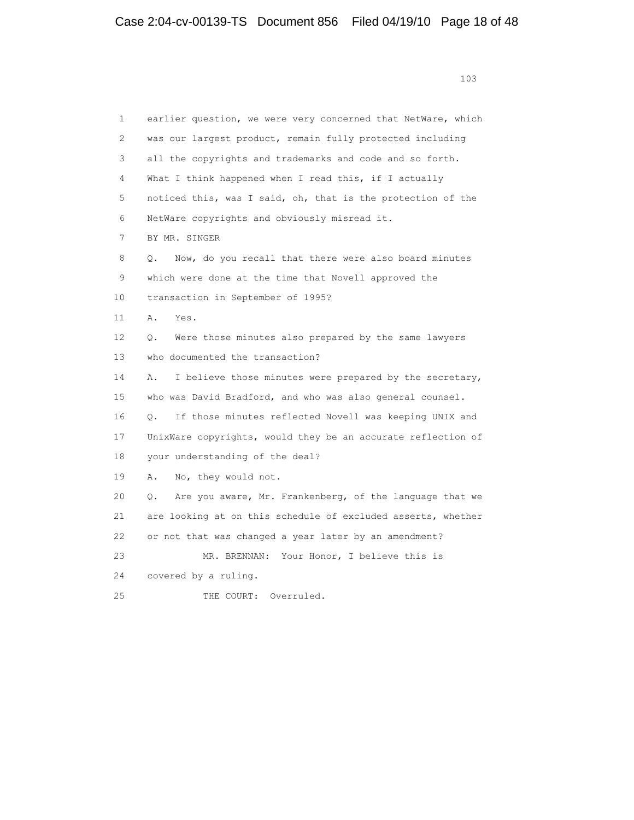1 earlier question, we were very concerned that NetWare, which 2 was our largest product, remain fully protected including 3 all the copyrights and trademarks and code and so forth. 4 What I think happened when I read this, if I actually 5 noticed this, was I said, oh, that is the protection of the 6 NetWare copyrights and obviously misread it. 7 BY MR. SINGER 8 Q. Now, do you recall that there were also board minutes 9 which were done at the time that Novell approved the 10 transaction in September of 1995? 11 A. Yes. 12 Q. Were those minutes also prepared by the same lawyers 13 who documented the transaction? 14 A. I believe those minutes were prepared by the secretary, 15 who was David Bradford, and who was also general counsel. 16 Q. If those minutes reflected Novell was keeping UNIX and 17 UnixWare copyrights, would they be an accurate reflection of 18 your understanding of the deal? 19 A. No, they would not. 20 Q. Are you aware, Mr. Frankenberg, of the language that we 21 are looking at on this schedule of excluded asserts, whether 22 or not that was changed a year later by an amendment? 23 MR. BRENNAN: Your Honor, I believe this is 24 covered by a ruling. 25 THE COURT: Overruled.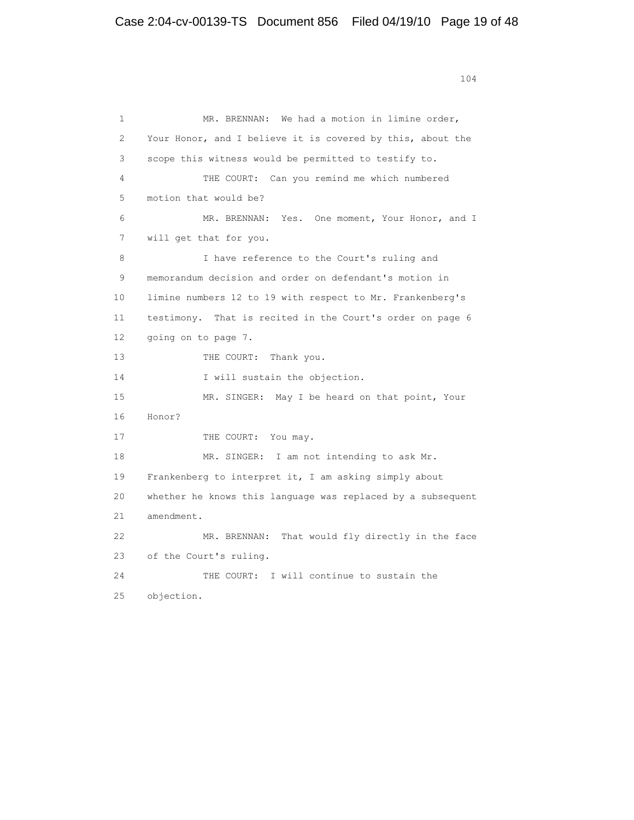1 MR. BRENNAN: We had a motion in limine order, 2 Your Honor, and I believe it is covered by this, about the 3 scope this witness would be permitted to testify to. 4 THE COURT: Can you remind me which numbered 5 motion that would be? 6 MR. BRENNAN: Yes. One moment, Your Honor, and I 7 will get that for you. 8 I have reference to the Court's ruling and 9 memorandum decision and order on defendant's motion in 10 limine numbers 12 to 19 with respect to Mr. Frankenberg's 11 testimony. That is recited in the Court's order on page 6 12 going on to page 7. 13 THE COURT: Thank you. 14 I will sustain the objection. 15 MR. SINGER: May I be heard on that point, Your 16 Honor? 17 THE COURT: You may. 18 MR. SINGER: I am not intending to ask Mr. 19 Frankenberg to interpret it, I am asking simply about 20 whether he knows this language was replaced by a subsequent 21 amendment. 22 MR. BRENNAN: That would fly directly in the face 23 of the Court's ruling. 24 THE COURT: I will continue to sustain the 25 objection.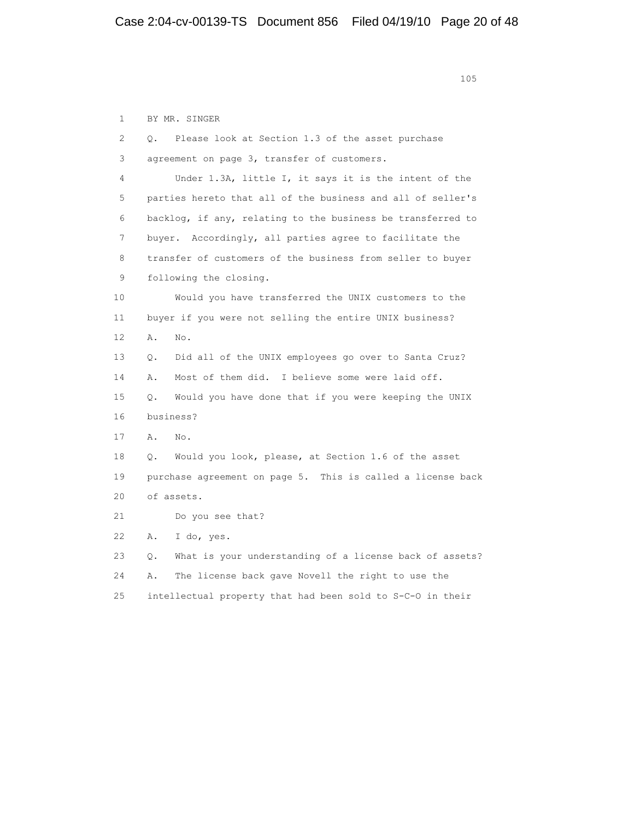1 BY MR. SINGER 2 Q. Please look at Section 1.3 of the asset purchase 3 agreement on page 3, transfer of customers. 4 Under 1.3A, little I, it says it is the intent of the 5 parties hereto that all of the business and all of seller's 6 backlog, if any, relating to the business be transferred to 7 buyer. Accordingly, all parties agree to facilitate the 8 transfer of customers of the business from seller to buyer 9 following the closing. 10 Would you have transferred the UNIX customers to the 11 buyer if you were not selling the entire UNIX business? 12 A. No. 13 Q. Did all of the UNIX employees go over to Santa Cruz? 14 A. Most of them did. I believe some were laid off. 15 Q. Would you have done that if you were keeping the UNIX 16 business? 17 A. No. 18 Q. Would you look, please, at Section 1.6 of the asset 19 purchase agreement on page 5. This is called a license back 20 of assets. 21 Do you see that? 22 A. I do, yes. 23 Q. What is your understanding of a license back of assets? 24 A. The license back gave Novell the right to use the 25 intellectual property that had been sold to S-C-O in their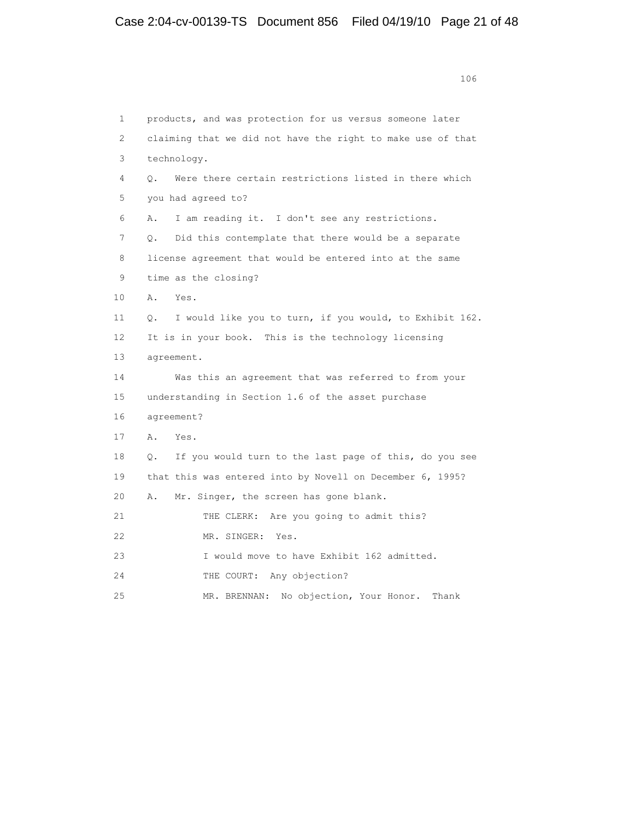106 1 products, and was protection for us versus someone later 2 claiming that we did not have the right to make use of that 3 technology. 4 Q. Were there certain restrictions listed in there which 5 you had agreed to? 6 A. I am reading it. I don't see any restrictions. 7 Q. Did this contemplate that there would be a separate 8 license agreement that would be entered into at the same 9 time as the closing? 10 A. Yes. 11 Q. I would like you to turn, if you would, to Exhibit 162. 12 It is in your book. This is the technology licensing 13 agreement. 14 Was this an agreement that was referred to from your 15 understanding in Section 1.6 of the asset purchase 16 agreement? 17 A. Yes. 18 Q. If you would turn to the last page of this, do you see 19 that this was entered into by Novell on December 6, 1995? 20 A. Mr. Singer, the screen has gone blank. 21 THE CLERK: Are you going to admit this? 22 MR. SINGER: Yes. 23 I would move to have Exhibit 162 admitted. 24 THE COURT: Any objection? 25 MR. BRENNAN: No objection, Your Honor. Thank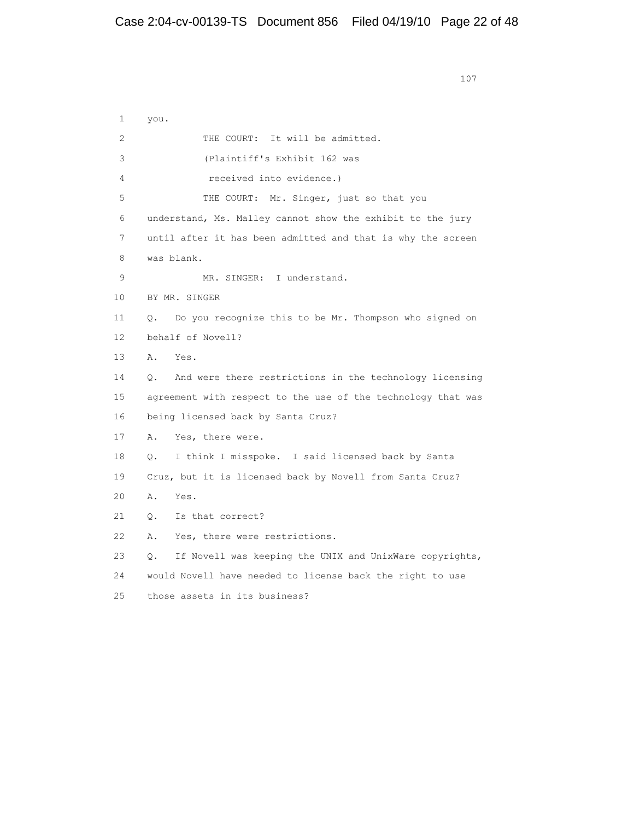1 you. 2 THE COURT: It will be admitted. 3 (Plaintiff's Exhibit 162 was 4 received into evidence.) 5 THE COURT: Mr. Singer, just so that you 6 understand, Ms. Malley cannot show the exhibit to the jury 7 until after it has been admitted and that is why the screen 8 was blank. 9 MR. SINGER: I understand. 10 BY MR. SINGER 11 Q. Do you recognize this to be Mr. Thompson who signed on 12 behalf of Novell? 13 A. Yes. 14 Q. And were there restrictions in the technology licensing 15 agreement with respect to the use of the technology that was 16 being licensed back by Santa Cruz? 17 A. Yes, there were. 18 Q. I think I misspoke. I said licensed back by Santa 19 Cruz, but it is licensed back by Novell from Santa Cruz? 20 A. Yes. 21 Q. Is that correct? 22 A. Yes, there were restrictions. 23 Q. If Novell was keeping the UNIX and UnixWare copyrights, 24 would Novell have needed to license back the right to use 25 those assets in its business?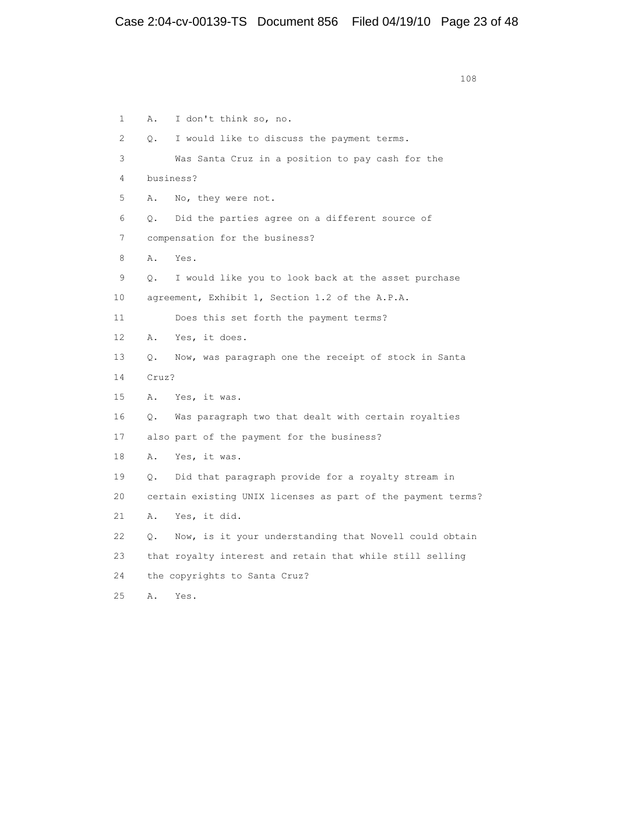1 A. I don't think so, no. 2 Q. I would like to discuss the payment terms. 3 Was Santa Cruz in a position to pay cash for the 4 business? 5 A. No, they were not. 6 Q. Did the parties agree on a different source of 7 compensation for the business? 8 A. Yes. 9 Q. I would like you to look back at the asset purchase 10 agreement, Exhibit 1, Section 1.2 of the A.P.A. 11 Does this set forth the payment terms? 12 A. Yes, it does. 13 Q. Now, was paragraph one the receipt of stock in Santa 14 Cruz? 15 A. Yes, it was. 16 Q. Was paragraph two that dealt with certain royalties 17 also part of the payment for the business? 18 A. Yes, it was. 19 Q. Did that paragraph provide for a royalty stream in 20 certain existing UNIX licenses as part of the payment terms? 21 A. Yes, it did. 22 Q. Now, is it your understanding that Novell could obtain 23 that royalty interest and retain that while still selling 24 the copyrights to Santa Cruz? 25 A. Yes.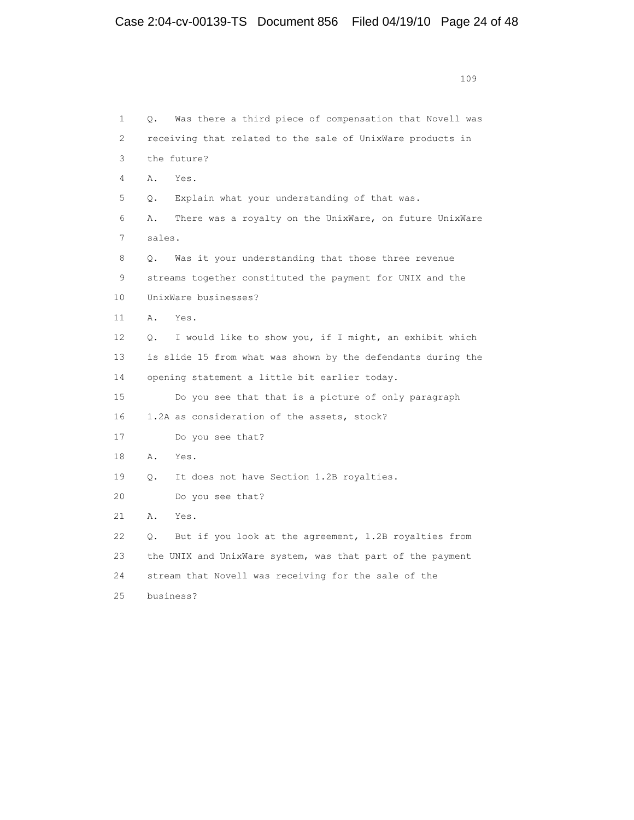|              | 109                                                           |
|--------------|---------------------------------------------------------------|
|              |                                                               |
| $\mathbf{1}$ | Was there a third piece of compensation that Novell was<br>0. |
| 2            | receiving that related to the sale of UnixWare products in    |
| 3            | the future?                                                   |
| 4            | Α.<br>Yes.                                                    |
| 5            | Explain what your understanding of that was.<br>О.            |
| 6            | There was a royalty on the UnixWare, on future UnixWare<br>Α. |
| 7            | sales.                                                        |
| 8            | Was it your understanding that those three revenue<br>О.      |
| 9            | streams together constituted the payment for UNIX and the     |
| 10           | UnixWare businesses?                                          |
| 11           | Α.<br>Yes.                                                    |
| 12.          | I would like to show you, if I might, an exhibit which<br>О.  |
| 1.3          | is slide 15 from what was shown by the defendants during the  |
| 14           | opening statement a little bit earlier today.                 |
| 15           | Do you see that that is a picture of only paragraph           |
| 16           | 1.2A as consideration of the assets, stock?                   |
| 17           | Do you see that?                                              |
| 18           | Α.<br>Yes.                                                    |
| 19           | It does not have Section 1.2B royalties.<br>0.                |
| 2.0          | Do you see that?                                              |
| 21           | Α.<br>Yes.                                                    |
| 22           | But if you look at the agreement, 1.2B royalties from<br>Q.   |
| 23           | the UNIX and UnixWare system, was that part of the payment    |
| 2.4          | stream that Novell was receiving for the sale of the          |
| 2.5          | business?                                                     |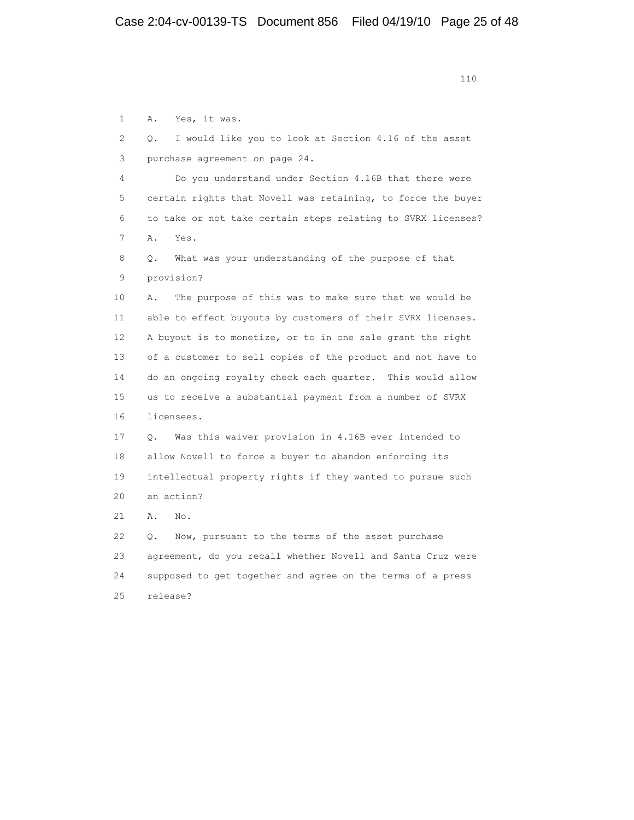1 A. Yes, it was. 2 Q. I would like you to look at Section 4.16 of the asset 3 purchase agreement on page 24. 4 Do you understand under Section 4.16B that there were 5 certain rights that Novell was retaining, to force the buyer 6 to take or not take certain steps relating to SVRX licenses? 7 A. Yes. 8 Q. What was your understanding of the purpose of that 9 provision? 10 A. The purpose of this was to make sure that we would be 11 able to effect buyouts by customers of their SVRX licenses. 12 A buyout is to monetize, or to in one sale grant the right 13 of a customer to sell copies of the product and not have to 14 do an ongoing royalty check each quarter. This would allow 15 us to receive a substantial payment from a number of SVRX 16 licensees. 17 Q. Was this waiver provision in 4.16B ever intended to 18 allow Novell to force a buyer to abandon enforcing its 19 intellectual property rights if they wanted to pursue such 20 an action? 21 A. No. 22 Q. Now, pursuant to the terms of the asset purchase 23 agreement, do you recall whether Novell and Santa Cruz were 24 supposed to get together and agree on the terms of a press 25 release?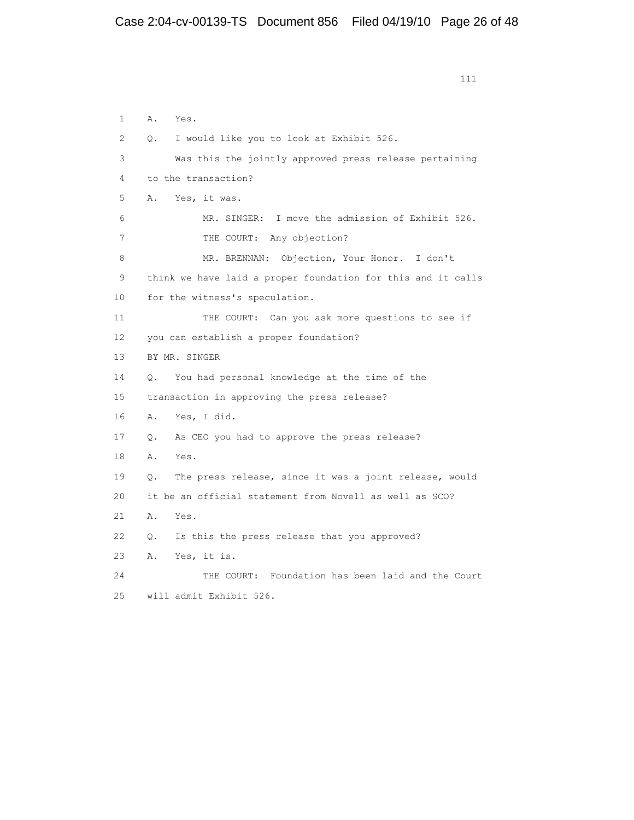| $\mathbf{1}$    | Α.<br>Yes.                                                   |
|-----------------|--------------------------------------------------------------|
| 2               | I would like you to look at Exhibit 526.<br>$\circ$ .        |
| 3               | Was this the jointly approved press release pertaining       |
| 4               | to the transaction?                                          |
| 5               | Α.<br>Yes, it was.                                           |
| 6               | MR. SINGER: I move the admission of Exhibit 526.             |
| 7               | THE COURT: Any objection?                                    |
| 8               | MR. BRENNAN: Objection, Your Honor. I don't                  |
| 9               | think we have laid a proper foundation for this and it calls |
| 10              | for the witness's speculation.                               |
| 11              | THE COURT: Can you ask more questions to see if              |
| 12 <sup>2</sup> | you can establish a proper foundation?                       |
| 13              | BY MR. SINGER                                                |
| 14              | You had personal knowledge at the time of the<br>О.          |
| 15              | transaction in approving the press release?                  |
| 16              | Yes, I did.<br>Α.                                            |
| 17              | As CEO you had to approve the press release?<br>0.           |
| 18              | Α.<br>Yes.                                                   |
| 19              | The press release, since it was a joint release, would<br>Q. |
| 20              | it be an official statement from Novell as well as SCO?      |
| 21              | Α.<br>Yes.                                                   |
| 22              | Is this the press release that you approved?<br>$\circ$ .    |
| 23              | Yes, it is.<br>Α.                                            |
| 2.4             | THE COURT: Foundation has been laid and the Court            |
| 25              | will admit Exhibit 526.                                      |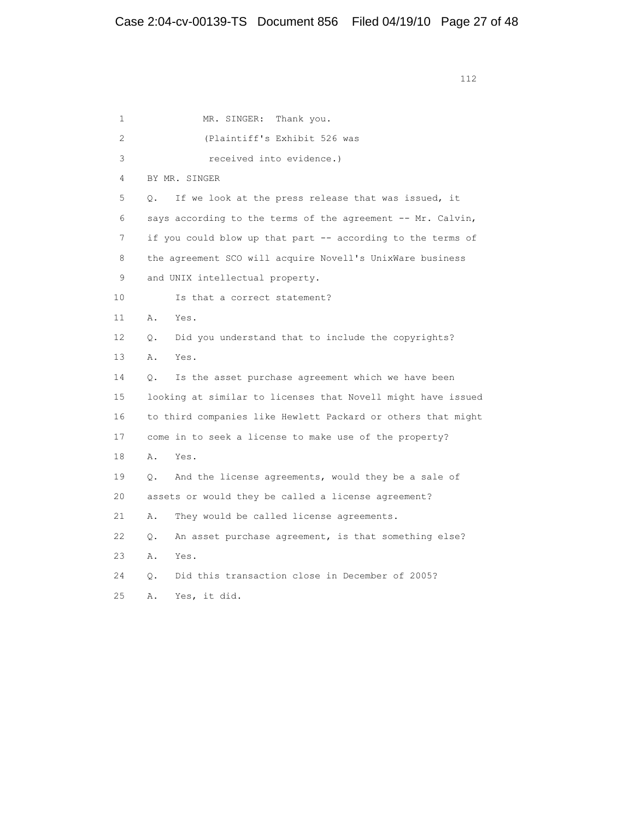1 MR. SINGER: Thank you. 2 (Plaintiff's Exhibit 526 was 3 received into evidence.) 4 BY MR. SINGER 5 Q. If we look at the press release that was issued, it 6 says according to the terms of the agreement -- Mr. Calvin, 7 if you could blow up that part -- according to the terms of 8 the agreement SCO will acquire Novell's UnixWare business 9 and UNIX intellectual property. 10 Is that a correct statement? 11 A. Yes. 12 Q. Did you understand that to include the copyrights? 13 A. Yes. 14 Q. Is the asset purchase agreement which we have been 15 looking at similar to licenses that Novell might have issued 16 to third companies like Hewlett Packard or others that might 17 come in to seek a license to make use of the property? 18 A. Yes. 19 Q. And the license agreements, would they be a sale of 20 assets or would they be called a license agreement? 21 A. They would be called license agreements. 22 Q. An asset purchase agreement, is that something else? 23 A. Yes. 24 Q. Did this transaction close in December of 2005? 25 A. Yes, it did.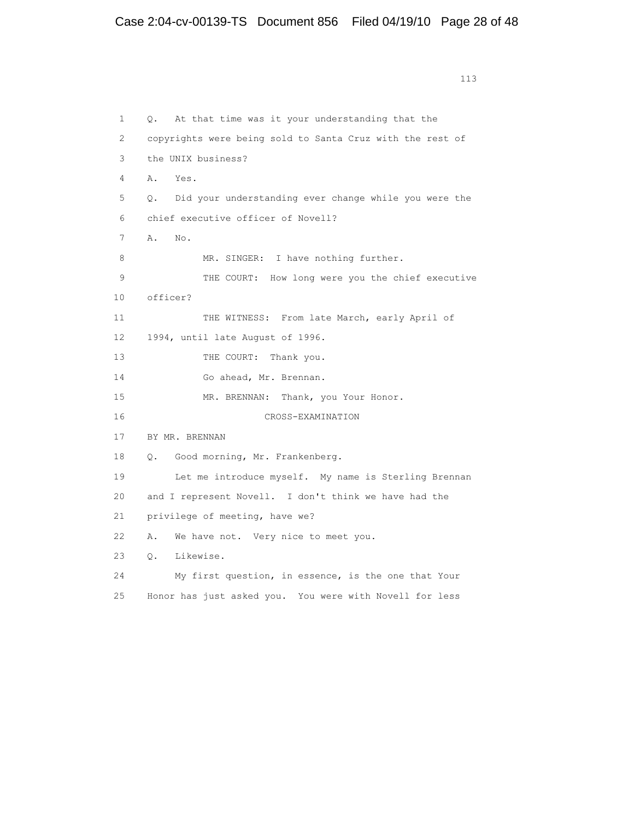1 Q. At that time was it your understanding that the 2 copyrights were being sold to Santa Cruz with the rest of 3 the UNIX business? 4 A. Yes. 5 Q. Did your understanding ever change while you were the 6 chief executive officer of Novell? 7 A. No. 8 MR. SINGER: I have nothing further. 9 THE COURT: How long were you the chief executive 10 officer? 11 THE WITNESS: From late March, early April of 12 1994, until late August of 1996. 13 THE COURT: Thank you. 14 Go ahead, Mr. Brennan. 15 MR. BRENNAN: Thank, you Your Honor. 16 CROSS-EXAMINATION 17 BY MR. BRENNAN 18 Q. Good morning, Mr. Frankenberg. 19 Let me introduce myself. My name is Sterling Brennan 20 and I represent Novell. I don't think we have had the 21 privilege of meeting, have we? 22 A. We have not. Very nice to meet you. 23 Q. Likewise. 24 My first question, in essence, is the one that Your 25 Honor has just asked you. You were with Novell for less

```
 113
```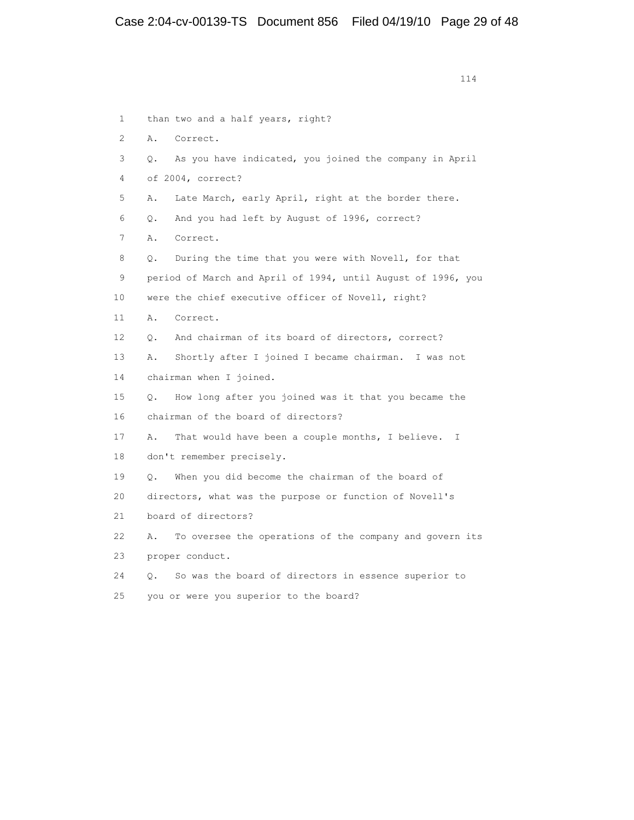114 1 than two and a half years, right? 2 A. Correct. 3 Q. As you have indicated, you joined the company in April 4 of 2004, correct? 5 A. Late March, early April, right at the border there. 6 Q. And you had left by August of 1996, correct? 7 A. Correct. 8 Q. During the time that you were with Novell, for that 9 period of March and April of 1994, until August of 1996, you 10 were the chief executive officer of Novell, right? 11 A. Correct. 12 Q. And chairman of its board of directors, correct? 13 A. Shortly after I joined I became chairman. I was not 14 chairman when I joined. 15 Q. How long after you joined was it that you became the 16 chairman of the board of directors? 17 A. That would have been a couple months, I believe. I 18 don't remember precisely. 19 Q. When you did become the chairman of the board of 20 directors, what was the purpose or function of Novell's 21 board of directors? 22 A. To oversee the operations of the company and govern its 23 proper conduct. 24 Q. So was the board of directors in essence superior to 25 you or were you superior to the board?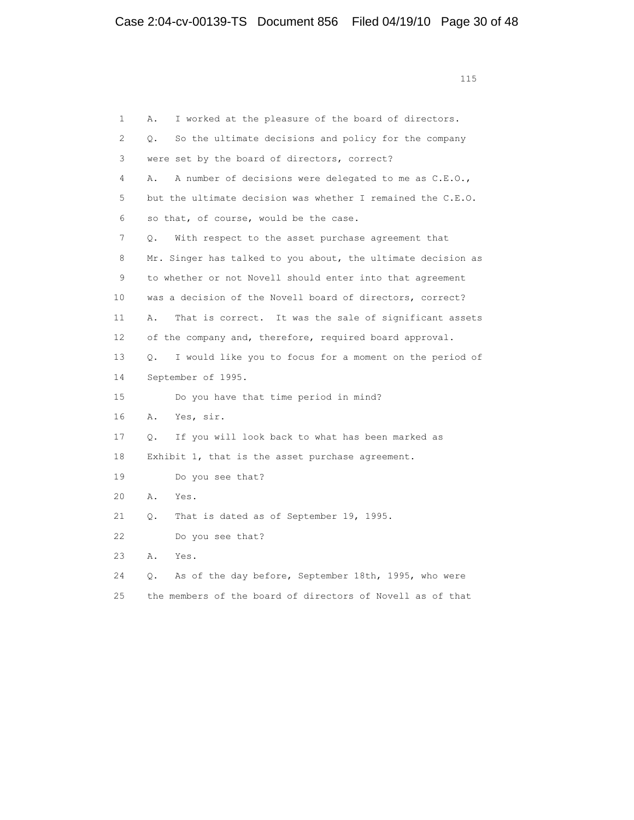1 A. I worked at the pleasure of the board of directors. 2 Q. So the ultimate decisions and policy for the company 3 were set by the board of directors, correct? 4 A. A number of decisions were delegated to me as C.E.O., 5 but the ultimate decision was whether I remained the C.E.O. 6 so that, of course, would be the case. 7 Q. With respect to the asset purchase agreement that 8 Mr. Singer has talked to you about, the ultimate decision as 9 to whether or not Novell should enter into that agreement 10 was a decision of the Novell board of directors, correct? 11 A. That is correct. It was the sale of significant assets 12 of the company and, therefore, required board approval. 13 Q. I would like you to focus for a moment on the period of 14 September of 1995. 15 Do you have that time period in mind? 16 A. Yes, sir. 17 Q. If you will look back to what has been marked as 18 Exhibit 1, that is the asset purchase agreement. 19 Do you see that? 20 A. Yes. 21 Q. That is dated as of September 19, 1995. 22 Do you see that? 23 A. Yes. 24 Q. As of the day before, September 18th, 1995, who were 25 the members of the board of directors of Novell as of that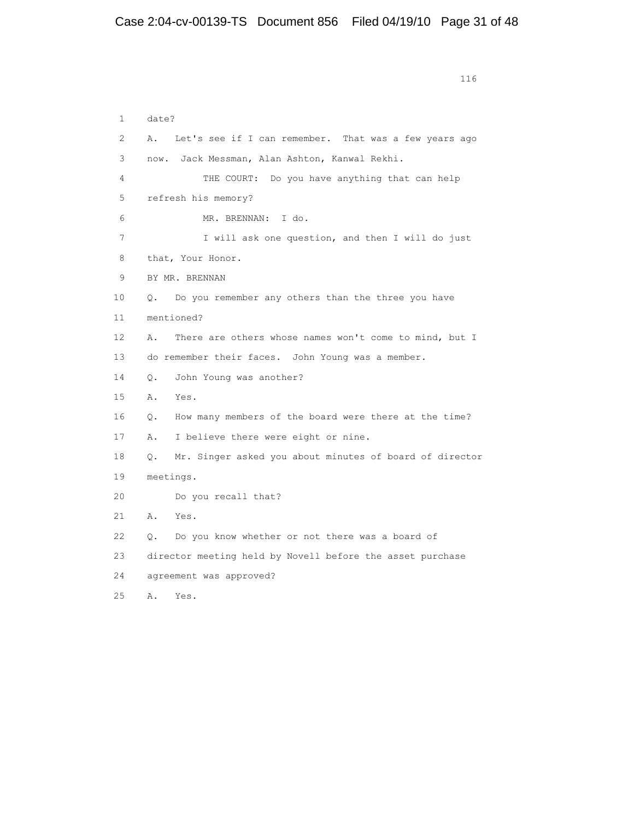```
 116
```

| $\mathbf{1}$ | date?                                                                |
|--------------|----------------------------------------------------------------------|
| 2            | Let's see if I can remember. That was a few years ago<br>Α.          |
| 3            | Jack Messman, Alan Ashton, Kanwal Rekhi.<br>now.                     |
| 4            | THE COURT: Do you have anything that can help                        |
| 5            | refresh his memory?                                                  |
| 6            | MR. BRENNAN: I do.                                                   |
| 7            | I will ask one question, and then I will do just                     |
| 8            | that, Your Honor.                                                    |
| 9            | BY MR. BRENNAN                                                       |
| 10           | Do you remember any others than the three you have<br>0.             |
| 11           | mentioned?                                                           |
| 12           | There are others whose names won't come to mind, but I<br>Α.         |
| 13           | do remember their faces. John Young was a member.                    |
| 14           | John Young was another?<br>$\circ$ .                                 |
| 15           | Α.<br>Yes.                                                           |
| 16           | How many members of the board were there at the time?<br>О.          |
| 17           | I believe there were eight or nine.<br>Α.                            |
| 18           | Mr. Singer asked you about minutes of board of director<br>$\circ$ . |
| 19           | meetings.                                                            |
| 20           | Do you recall that?                                                  |
| 21           | A.<br>Yes.                                                           |
| 22           | Do you know whether or not there was a board of<br>О.                |
| 23           | director meeting held by Novell before the asset purchase            |
| 24           | agreement was approved?                                              |
| 25           | Α.<br>Yes.                                                           |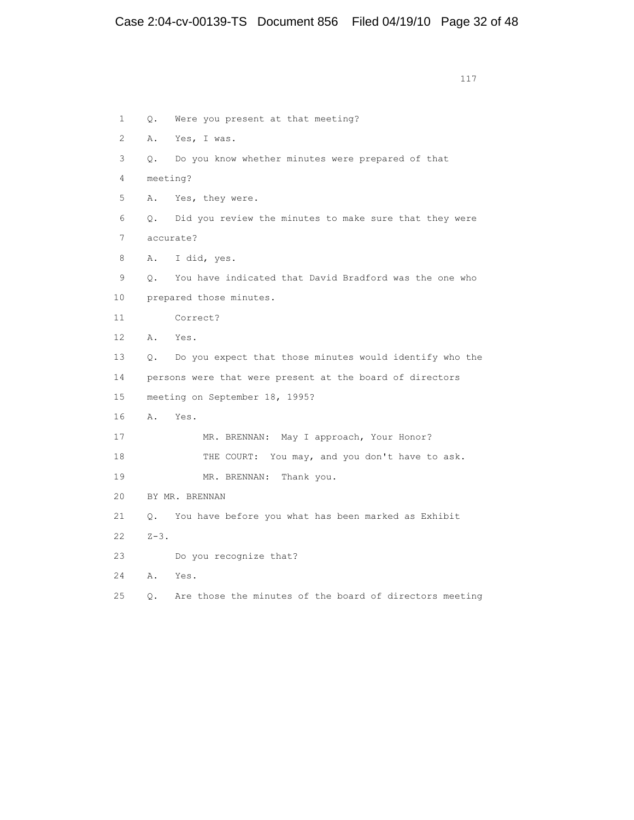|                |           | 117                                                      |
|----------------|-----------|----------------------------------------------------------|
|                |           |                                                          |
| $\mathbf{1}$   | О.        | Were you present at that meeting?                        |
| $\overline{2}$ | Α.        | Yes, I was.                                              |
| 3              | 0.        | Do you know whether minutes were prepared of that        |
| 4              |           | meeting?                                                 |
| 5              | Α.        | Yes, they were.                                          |
| 6              | О.        | Did you review the minutes to make sure that they were   |
| 7              |           | accurate?                                                |
| 8              | Α.        | I did, yes.                                              |
| 9              | 0.        | You have indicated that David Bradford was the one who   |
| 10             |           | prepared those minutes.                                  |
| 11             |           | Correct?                                                 |
| 12             | Α.        | Yes.                                                     |
| 13             | $\circ$ . | Do you expect that those minutes would identify who the  |
| 14             |           | persons were that were present at the board of directors |
| 15             |           | meeting on September 18, 1995?                           |
| 16             | Α.        | Yes.                                                     |
| 17             |           | MR. BRENNAN: May I approach, Your Honor?                 |
| 18             |           | THE COURT: You may, and you don't have to ask.           |
| 19             |           | MR. BRENNAN:<br>Thank you.                               |
| 20             |           | BY MR. BRENNAN                                           |
| 21             | О.        | You have before you what has been marked as Exhibit      |
| 22.            | $Z-3$ .   |                                                          |
| 23             |           | Do you recognize that?                                   |
| 24             | Α.        | Yes.                                                     |
| 25             | О.        | Are those the minutes of the board of directors meeting  |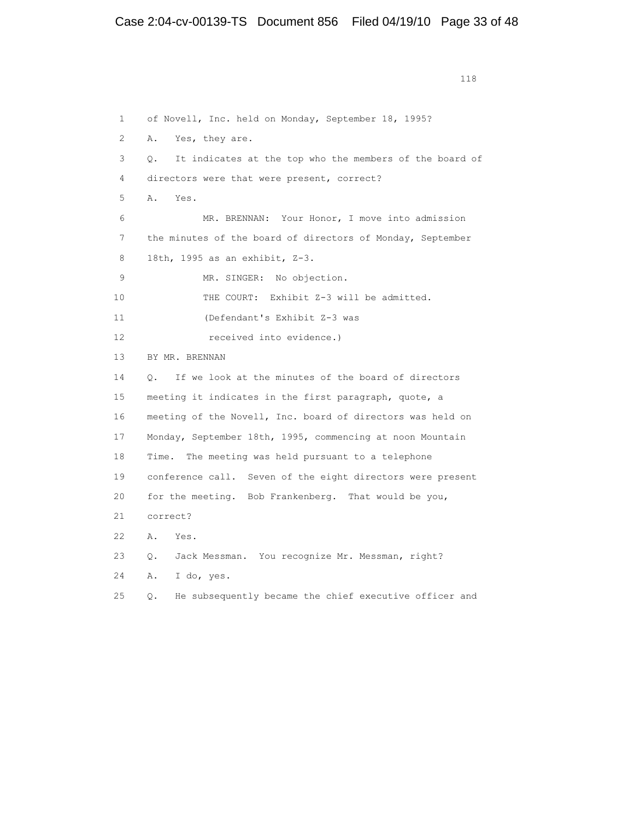1 of Novell, Inc. held on Monday, September 18, 1995? 2 A. Yes, they are. 3 Q. It indicates at the top who the members of the board of 4 directors were that were present, correct? 5 A. Yes. 6 MR. BRENNAN: Your Honor, I move into admission 7 the minutes of the board of directors of Monday, September 8 18th, 1995 as an exhibit, Z-3. 9 MR. SINGER: No objection. 10 THE COURT: Exhibit Z-3 will be admitted. 11 (Defendant's Exhibit Z-3 was 12 received into evidence.) 13 BY MR. BRENNAN 14 Q. If we look at the minutes of the board of directors 15 meeting it indicates in the first paragraph, quote, a 16 meeting of the Novell, Inc. board of directors was held on 17 Monday, September 18th, 1995, commencing at noon Mountain 18 Time. The meeting was held pursuant to a telephone 19 conference call. Seven of the eight directors were present 20 for the meeting. Bob Frankenberg. That would be you, 21 correct? 22 A. Yes. 23 Q. Jack Messman. You recognize Mr. Messman, right? 24 A. I do, yes. 25 Q. He subsequently became the chief executive officer and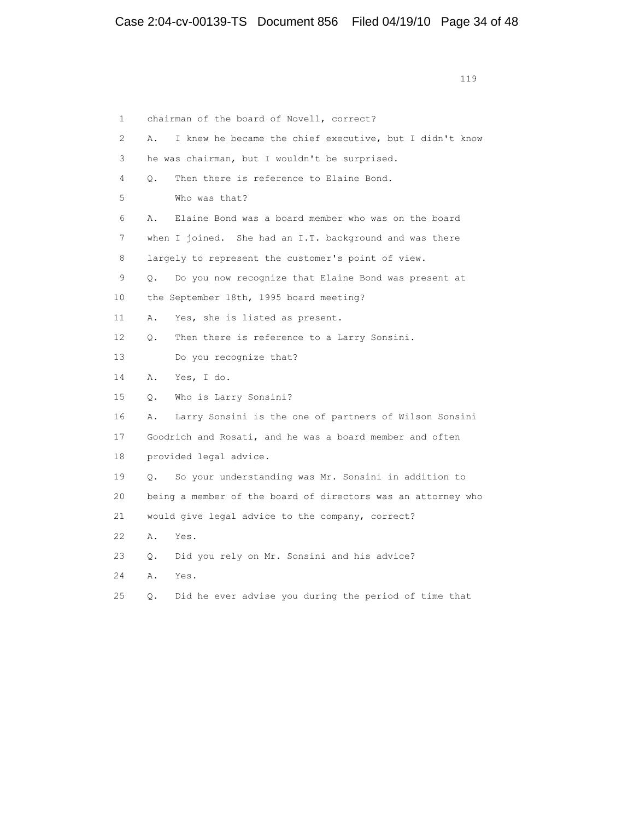119 1 chairman of the board of Novell, correct? 2 A. I knew he became the chief executive, but I didn't know 3 he was chairman, but I wouldn't be surprised. 4 Q. Then there is reference to Elaine Bond. 5 Who was that? 6 A. Elaine Bond was a board member who was on the board 7 when I joined. She had an I.T. background and was there 8 largely to represent the customer's point of view. 9 Q. Do you now recognize that Elaine Bond was present at 10 the September 18th, 1995 board meeting? 11 A. Yes, she is listed as present. 12 Q. Then there is reference to a Larry Sonsini. 13 Do you recognize that? 14 A. Yes, I do. 15 Q. Who is Larry Sonsini? 16 A. Larry Sonsini is the one of partners of Wilson Sonsini 17 Goodrich and Rosati, and he was a board member and often 18 provided legal advice. 19 Q. So your understanding was Mr. Sonsini in addition to 20 being a member of the board of directors was an attorney who 21 would give legal advice to the company, correct? 22 A. Yes. 23 Q. Did you rely on Mr. Sonsini and his advice? 24 A. Yes. 25 Q. Did he ever advise you during the period of time that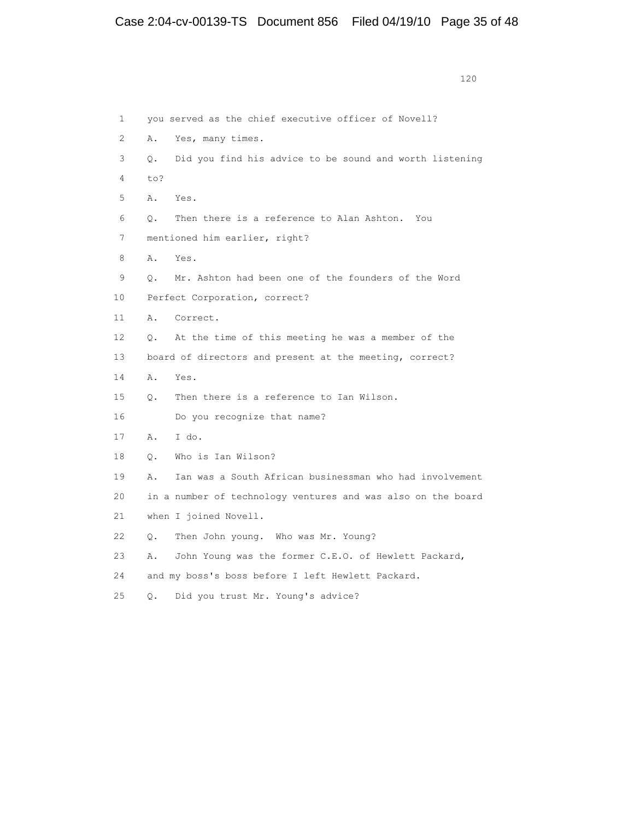| $\mathbf{1}$ |           | you served as the chief executive officer of Novell?         |
|--------------|-----------|--------------------------------------------------------------|
| 2            | Α.        | Yes, many times.                                             |
| 3            | $\circ$ . | Did you find his advice to be sound and worth listening      |
| 4            | to?       |                                                              |
| 5            | Α.        | Yes.                                                         |
| 6            | $\circ$ . | Then there is a reference to Alan Ashton. You                |
| 7            |           | mentioned him earlier, right?                                |
| 8            | A.        | Yes.                                                         |
| 9            | $\circ$ . | Mr. Ashton had been one of the founders of the Word          |
| 10           |           | Perfect Corporation, correct?                                |
| $11^{-}$     | Α.        | Correct.                                                     |
| 12           | $\circ$ . | At the time of this meeting he was a member of the           |
| 13           |           | board of directors and present at the meeting, correct?      |
| 14           | Α.        | Yes.                                                         |
| 15           | $\circ$ . | Then there is a reference to Ian Wilson.                     |
| 16           |           | Do you recognize that name?                                  |
| 17           | Α.        | I do.                                                        |
| 18           | $\circ$ . | Who is Ian Wilson?                                           |
| 19           | Α.        | Ian was a South African businessman who had involvement      |
| 20           |           | in a number of technology ventures and was also on the board |
| 21           |           | when I joined Novell.                                        |
| 22           | О.        | Then John young. Who was Mr. Young?                          |
| 23           | Α.        | John Young was the former C.E.O. of Hewlett Packard,         |
| 24           |           | and my boss's boss before I left Hewlett Packard.            |
| 2.5          | О.        | Did you trust Mr. Young's advice?                            |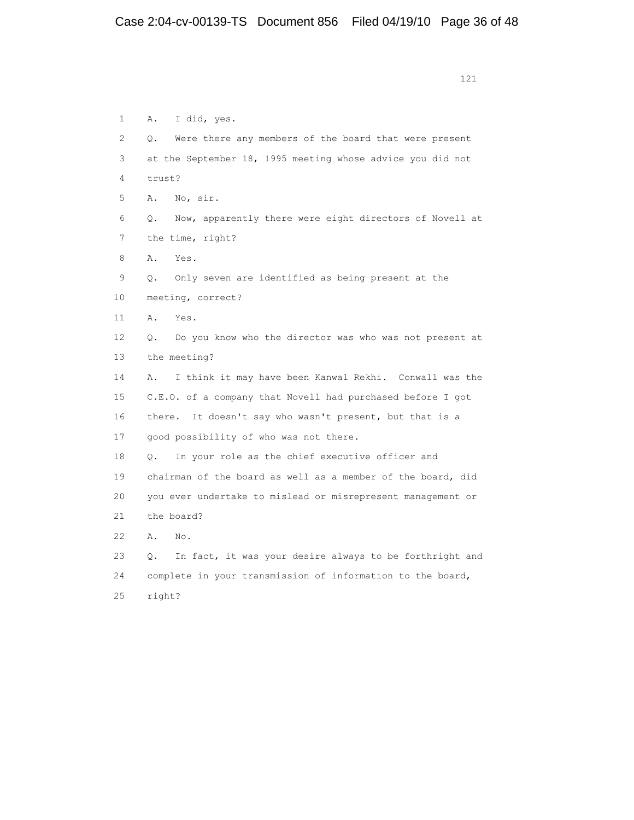| $\mathbf{1}$ | I did, yes.<br>Α.                                                    |
|--------------|----------------------------------------------------------------------|
| 2            | Were there any members of the board that were present<br>О.          |
| 3            | at the September 18, 1995 meeting whose advice you did not           |
| 4            | trust?                                                               |
| 5            | Α.<br>No, sir.                                                       |
| 6            | Now, apparently there were eight directors of Novell at<br>Ο.        |
| 7            | the time, right?                                                     |
| 8            | Yes.<br>Α.                                                           |
| 9            | Only seven are identified as being present at the<br>О.              |
| 10           | meeting, correct?                                                    |
| 11           | Α.<br>Yes.                                                           |
| 12           | Do you know who the director was who was not present at<br>$\circ$ . |
| 13           | the meeting?                                                         |
| 14           | I think it may have been Kanwal Rekhi. Conwall was the<br>Α.         |
| 15           | C.E.O. of a company that Novell had purchased before I got           |
| 16           | there. It doesn't say who wasn't present, but that is a              |
| 17           | good possibility of who was not there.                               |
| 18           | In your role as the chief executive officer and<br>$\circ$ .         |
| 19           | chairman of the board as well as a member of the board, did          |
| 20           | you ever undertake to mislead or misrepresent management or          |
| 21           | the board?                                                           |
| 22           | Α.<br>No.                                                            |
| 23           | In fact, it was your desire always to be forthright and<br>О.        |
| 24           | complete in your transmission of information to the board,           |
| 2.5          | right?                                                               |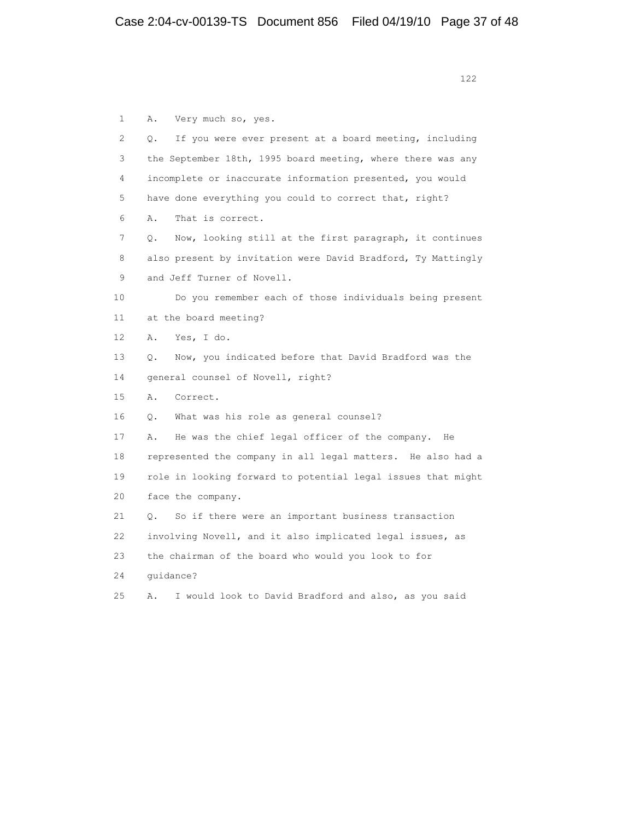| $\mathbf{1}$ | Very much so, yes.<br>Α.                                        |
|--------------|-----------------------------------------------------------------|
| 2            | If you were ever present at a board meeting, including<br>О.    |
| 3            | the September 18th, 1995 board meeting, where there was any     |
| 4            | incomplete or inaccurate information presented, you would       |
| 5            | have done everything you could to correct that, right?          |
| 6            | Α.<br>That is correct.                                          |
| 7            | Now, looking still at the first paragraph, it continues<br>О.   |
| 8            | also present by invitation were David Bradford, Ty Mattingly    |
| 9            | and Jeff Turner of Novell.                                      |
| 10           | Do you remember each of those individuals being present         |
| 11           | at the board meeting?                                           |
| 12           | Yes, I do.<br>Α.                                                |
| 13           | Now, you indicated before that David Bradford was the<br>О.     |
| 14           | general counsel of Novell, right?                               |
| 15           | Α.<br>Correct.                                                  |
| 16           | What was his role as general counsel?<br>Q.                     |
| 17           | He was the chief legal officer of the company. He<br>Α.         |
| 18           | represented the company in all legal matters. He also had a     |
| 19           | role in looking forward to potential legal issues that might    |
| 20           | face the company.                                               |
| 21           | So if there were an important business transaction<br>$\circ$ . |
| 22           | involving Novell, and it also implicated legal issues, as       |
| 23           | the chairman of the board who would you look to for             |
| 24           | quidance?                                                       |
| 25           | I would look to David Bradford and also, as you said<br>Α.      |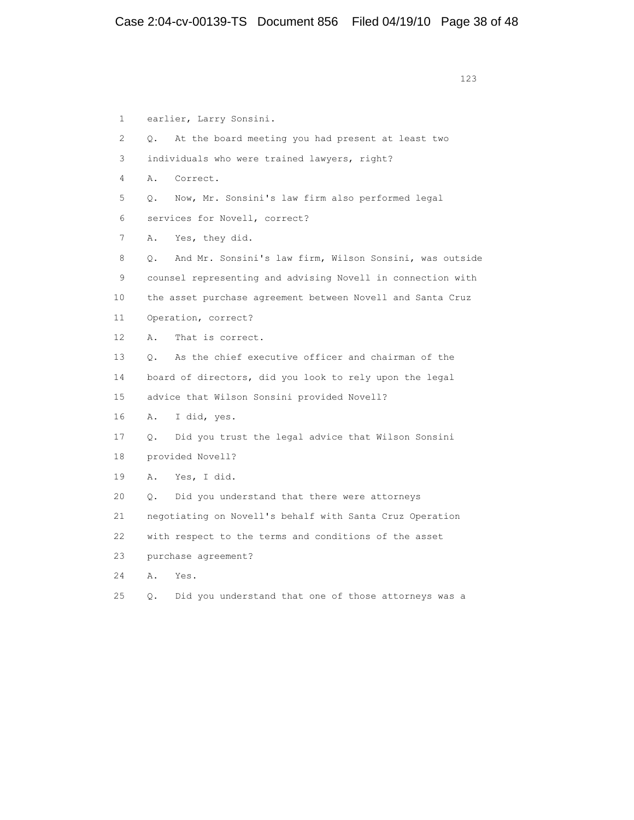1 earlier, Larry Sonsini. 2 Q. At the board meeting you had present at least two 3 individuals who were trained lawyers, right? 4 A. Correct. 5 Q. Now, Mr. Sonsini's law firm also performed legal 6 services for Novell, correct? 7 A. Yes, they did. 8 Q. And Mr. Sonsini's law firm, Wilson Sonsini, was outside 9 counsel representing and advising Novell in connection with 10 the asset purchase agreement between Novell and Santa Cruz 11 Operation, correct? 12 A. That is correct. 13 Q. As the chief executive officer and chairman of the 14 board of directors, did you look to rely upon the legal 15 advice that Wilson Sonsini provided Novell? 16 A. I did, yes. 17 Q. Did you trust the legal advice that Wilson Sonsini 18 provided Novell? 19 A. Yes, I did. 20 Q. Did you understand that there were attorneys 21 negotiating on Novell's behalf with Santa Cruz Operation 22 with respect to the terms and conditions of the asset 23 purchase agreement? 24 A. Yes.

25 Q. Did you understand that one of those attorneys was a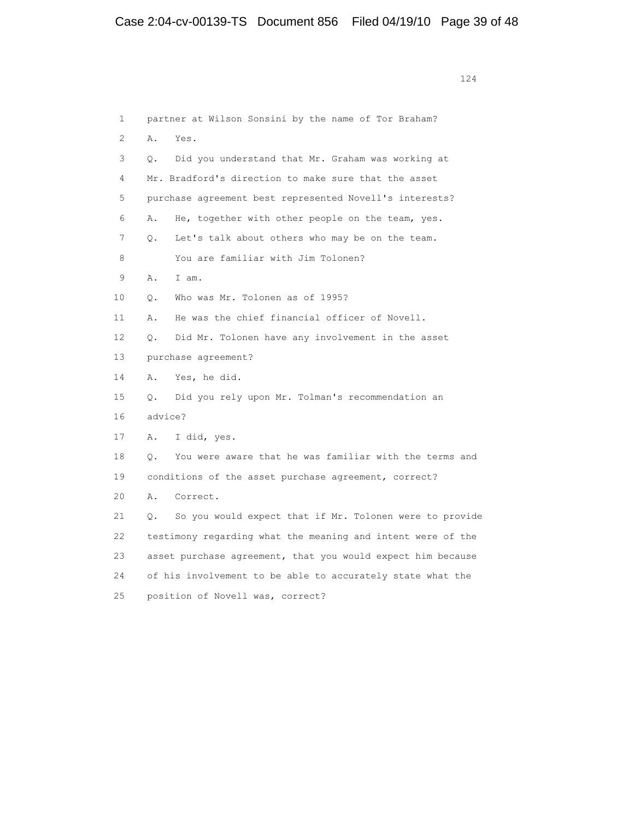1 partner at Wilson Sonsini by the name of Tor Braham? 2 A. Yes. 3 Q. Did you understand that Mr. Graham was working at 4 Mr. Bradford's direction to make sure that the asset 5 purchase agreement best represented Novell's interests? 6 A. He, together with other people on the team, yes. 7 Q. Let's talk about others who may be on the team. 8 You are familiar with Jim Tolonen? 9 A. I am. 10 Q. Who was Mr. Tolonen as of 1995? 11 A. He was the chief financial officer of Novell. 12 Q. Did Mr. Tolonen have any involvement in the asset 13 purchase agreement? 14 A. Yes, he did. 15 Q. Did you rely upon Mr. Tolman's recommendation an 16 advice? 17 A. I did, yes. 18 Q. You were aware that he was familiar with the terms and 19 conditions of the asset purchase agreement, correct? 20 A. Correct. 21 Q. So you would expect that if Mr. Tolonen were to provide 22 testimony regarding what the meaning and intent were of the 23 asset purchase agreement, that you would expect him because 24 of his involvement to be able to accurately state what the 25 position of Novell was, correct?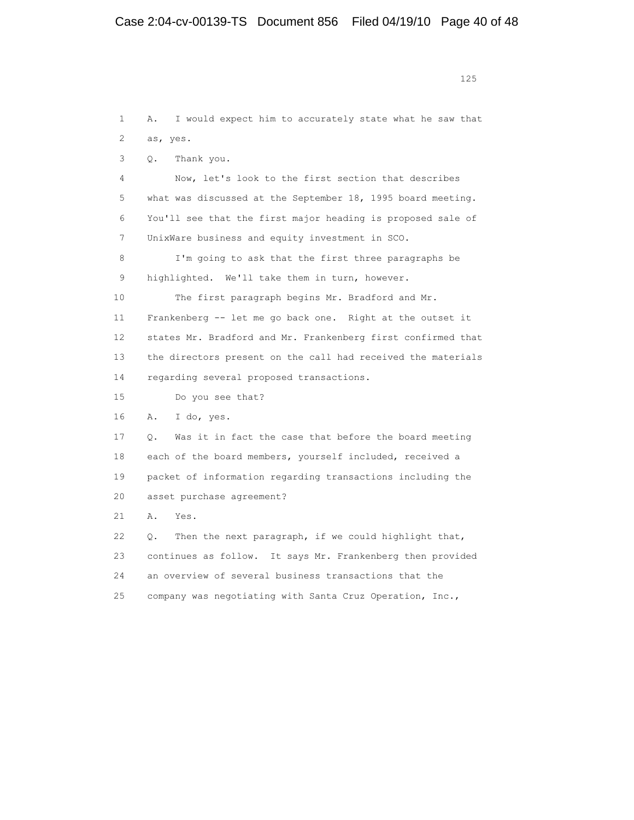1 A. I would expect him to accurately state what he saw that 2 as, yes. 3 Q. Thank you. 4 Now, let's look to the first section that describes 5 what was discussed at the September 18, 1995 board meeting. 6 You'll see that the first major heading is proposed sale of 7 UnixWare business and equity investment in SCO. 8 I'm going to ask that the first three paragraphs be 9 highlighted. We'll take them in turn, however. 10 The first paragraph begins Mr. Bradford and Mr. 11 Frankenberg -- let me go back one. Right at the outset it 12 states Mr. Bradford and Mr. Frankenberg first confirmed that 13 the directors present on the call had received the materials 14 regarding several proposed transactions. 15 Do you see that? 16 A. I do, yes. 17 Q. Was it in fact the case that before the board meeting 18 each of the board members, yourself included, received a 19 packet of information regarding transactions including the 20 asset purchase agreement? 21 A. Yes. 22 Q. Then the next paragraph, if we could highlight that, 23 continues as follow. It says Mr. Frankenberg then provided 24 an overview of several business transactions that the 25 company was negotiating with Santa Cruz Operation, Inc.,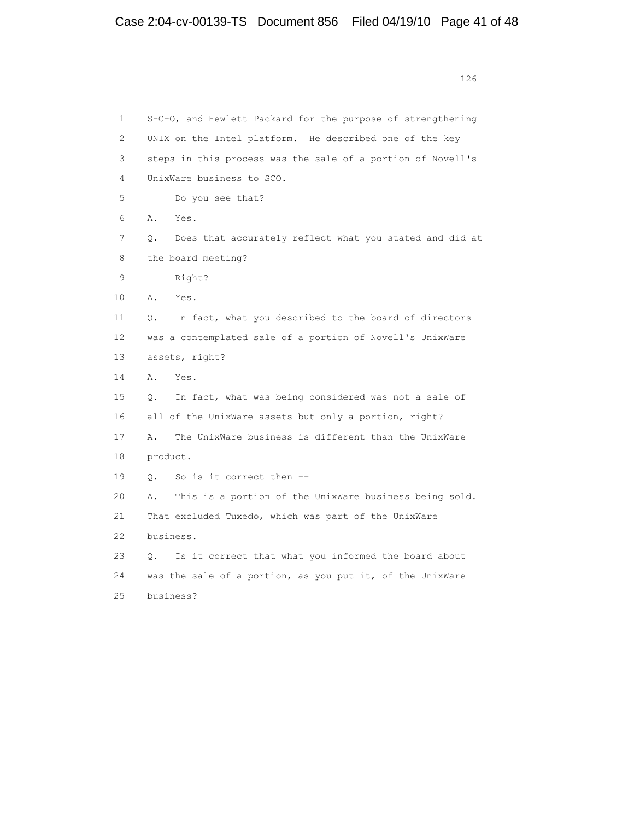1 S-C-O, and Hewlett Packard for the purpose of strengthening 2 UNIX on the Intel platform. He described one of the key 3 steps in this process was the sale of a portion of Novell's 4 UnixWare business to SCO. 5 Do you see that? 6 A. Yes. 7 Q. Does that accurately reflect what you stated and did at 8 the board meeting? 9 Right? 10 A. Yes. 11 Q. In fact, what you described to the board of directors 12 was a contemplated sale of a portion of Novell's UnixWare 13 assets, right? 14 A. Yes. 15 Q. In fact, what was being considered was not a sale of 16 all of the UnixWare assets but only a portion, right? 17 A. The UnixWare business is different than the UnixWare 18 product. 19 Q. So is it correct then -- 20 A. This is a portion of the UnixWare business being sold. 21 That excluded Tuxedo, which was part of the UnixWare 22 business. 23 Q. Is it correct that what you informed the board about 24 was the sale of a portion, as you put it, of the UnixWare 25 business?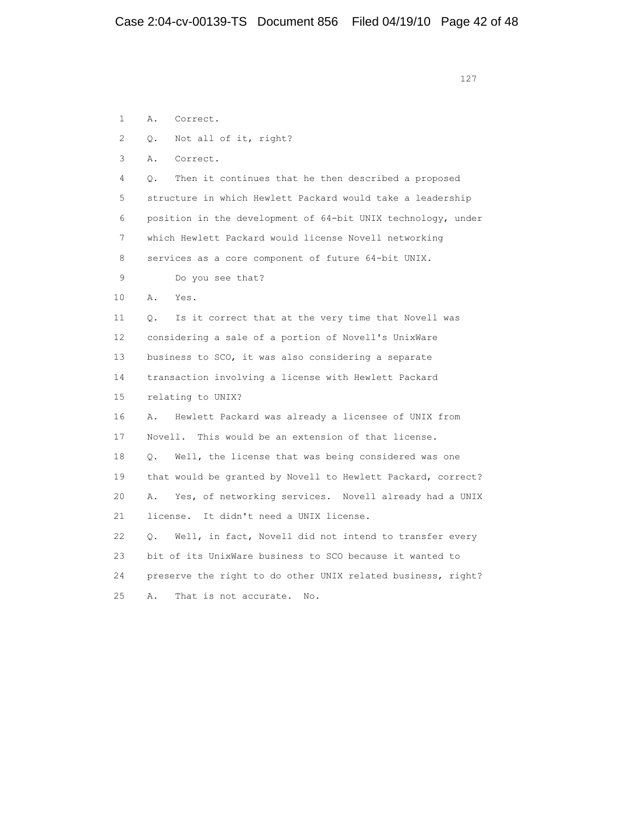1 A. Correct. 2 Q. Not all of it, right? 3 A. Correct. 4 Q. Then it continues that he then described a proposed 5 structure in which Hewlett Packard would take a leadership 6 position in the development of 64-bit UNIX technology, under 7 which Hewlett Packard would license Novell networking 8 services as a core component of future 64-bit UNIX. 9 Do you see that? 10 A. Yes. 11 Q. Is it correct that at the very time that Novell was 12 considering a sale of a portion of Novell's UnixWare 13 business to SCO, it was also considering a separate 14 transaction involving a license with Hewlett Packard 15 relating to UNIX? 16 A. Hewlett Packard was already a licensee of UNIX from 17 Novell. This would be an extension of that license. 18 Q. Well, the license that was being considered was one 19 that would be granted by Novell to Hewlett Packard, correct? 20 A. Yes, of networking services. Novell already had a UNIX 21 license. It didn't need a UNIX license. 22 Q. Well, in fact, Novell did not intend to transfer every 23 bit of its UnixWare business to SCO because it wanted to 24 preserve the right to do other UNIX related business, right? 25 A. That is not accurate. No.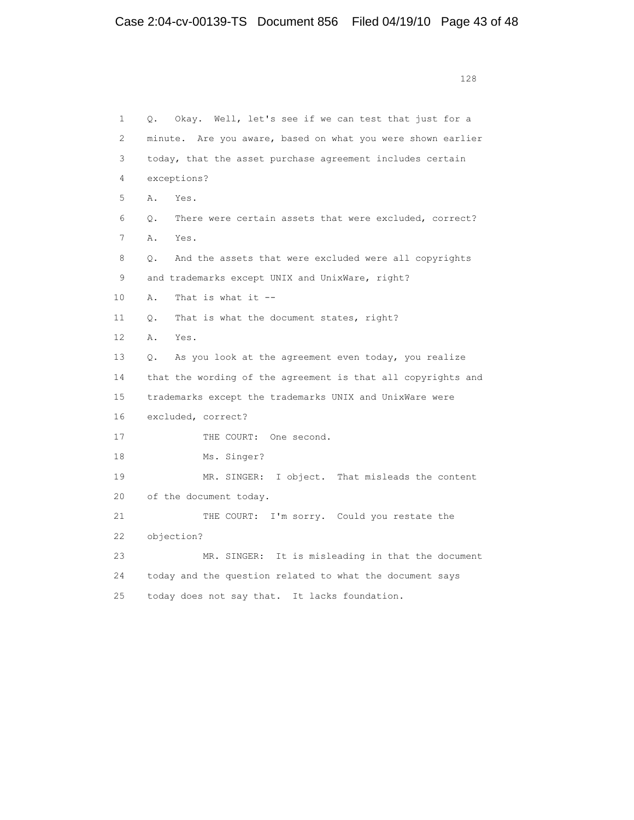1 Q. Okay. Well, let's see if we can test that just for a 2 minute. Are you aware, based on what you were shown earlier 3 today, that the asset purchase agreement includes certain 4 exceptions? 5 A. Yes. 6 Q. There were certain assets that were excluded, correct? 7 A. Yes. 8 Q. And the assets that were excluded were all copyrights 9 and trademarks except UNIX and UnixWare, right? 10 A. That is what it -- 11 Q. That is what the document states, right? 12 A. Yes. 13 Q. As you look at the agreement even today, you realize 14 that the wording of the agreement is that all copyrights and 15 trademarks except the trademarks UNIX and UnixWare were 16 excluded, correct? 17 THE COURT: One second. 18 Ms. Singer? 19 MR. SINGER: I object. That misleads the content 20 of the document today. 21 THE COURT: I'm sorry. Could you restate the 22 objection? 23 MR. SINGER: It is misleading in that the document 24 today and the question related to what the document says 25 today does not say that. It lacks foundation.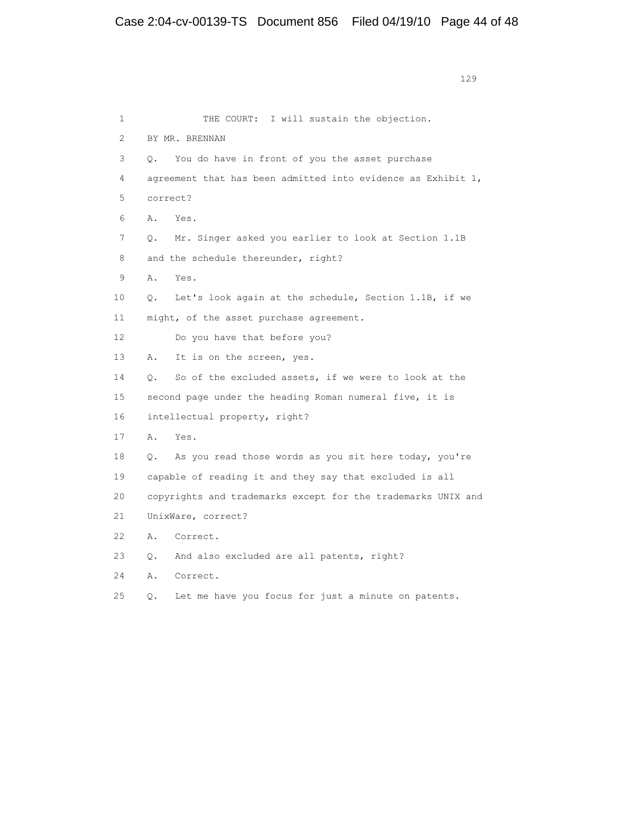1 THE COURT: I will sustain the objection. 2 BY MR. BRENNAN 3 Q. You do have in front of you the asset purchase 4 agreement that has been admitted into evidence as Exhibit 1, 5 correct? 6 A. Yes. 7 Q. Mr. Singer asked you earlier to look at Section 1.1B 8 and the schedule thereunder, right? 9 A. Yes. 10 Q. Let's look again at the schedule, Section 1.1B, if we 11 might, of the asset purchase agreement. 12 Do you have that before you? 13 A. It is on the screen, yes. 14 Q. So of the excluded assets, if we were to look at the 15 second page under the heading Roman numeral five, it is 16 intellectual property, right? 17 A. Yes. 18 Q. As you read those words as you sit here today, you're 19 capable of reading it and they say that excluded is all 20 copyrights and trademarks except for the trademarks UNIX and 21 UnixWare, correct? 22 A. Correct. 23 Q. And also excluded are all patents, right? 24 A. Correct. 25 Q. Let me have you focus for just a minute on patents.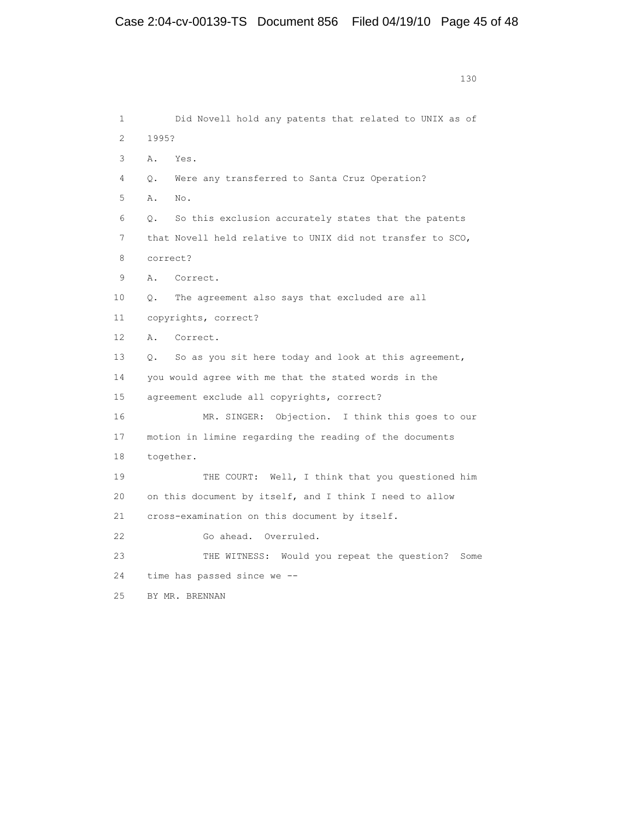130

 1 Did Novell hold any patents that related to UNIX as of 2 1995? 3 A. Yes. 4 Q. Were any transferred to Santa Cruz Operation? 5 A. No. 6 Q. So this exclusion accurately states that the patents 7 that Novell held relative to UNIX did not transfer to SCO, 8 correct? 9 A. Correct. 10 Q. The agreement also says that excluded are all 11 copyrights, correct? 12 A. Correct. 13 Q. So as you sit here today and look at this agreement, 14 you would agree with me that the stated words in the 15 agreement exclude all copyrights, correct? 16 MR. SINGER: Objection. I think this goes to our 17 motion in limine regarding the reading of the documents 18 together. 19 THE COURT: Well, I think that you questioned him 20 on this document by itself, and I think I need to allow 21 cross-examination on this document by itself. 22 Go ahead. Overruled. 23 THE WITNESS: Would you repeat the question? Some 24 time has passed since we -- 25 BY MR. BRENNAN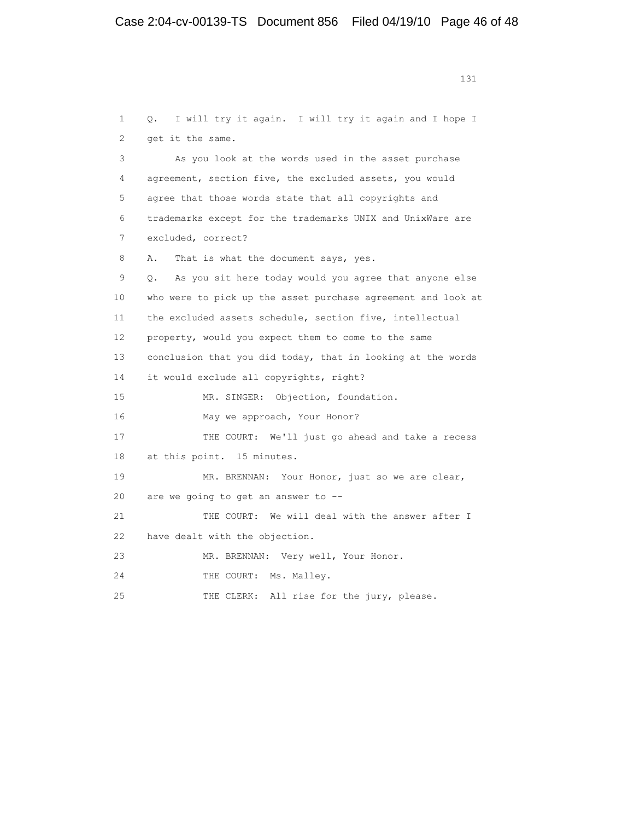1 Q. I will try it again. I will try it again and I hope I 2 get it the same. 3 As you look at the words used in the asset purchase 4 agreement, section five, the excluded assets, you would 5 agree that those words state that all copyrights and 6 trademarks except for the trademarks UNIX and UnixWare are 7 excluded, correct? 8 A. That is what the document says, yes. 9 Q. As you sit here today would you agree that anyone else 10 who were to pick up the asset purchase agreement and look at 11 the excluded assets schedule, section five, intellectual 12 property, would you expect them to come to the same 13 conclusion that you did today, that in looking at the words 14 it would exclude all copyrights, right? 15 MR. SINGER: Objection, foundation. 16 May we approach, Your Honor? 17 THE COURT: We'll just go ahead and take a recess 18 at this point. 15 minutes. 19 MR. BRENNAN: Your Honor, just so we are clear, 20 are we going to get an answer to -- 21 THE COURT: We will deal with the answer after I 22 have dealt with the objection. 23 MR. BRENNAN: Very well, Your Honor. 24 THE COURT: Ms. Malley. 25 THE CLERK: All rise for the jury, please.

```
 131
```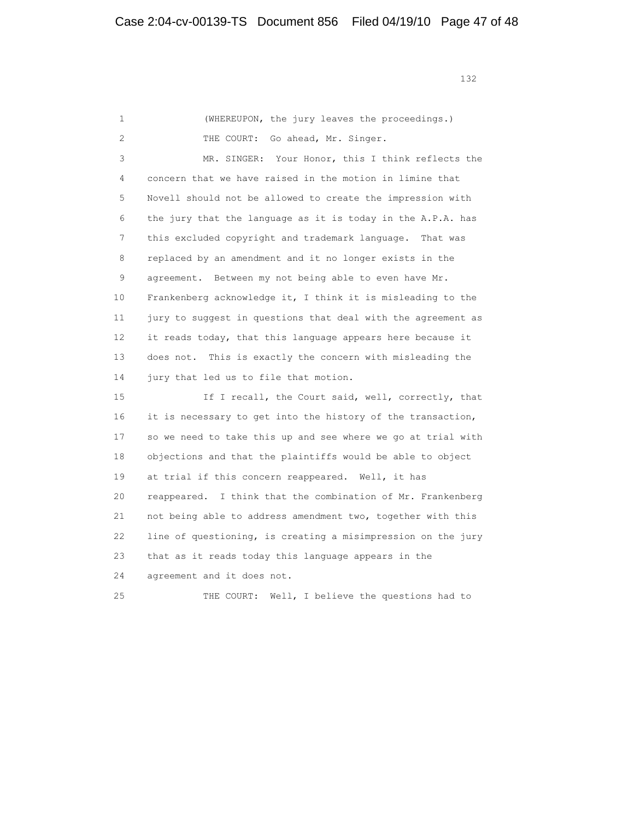132

 1 (WHEREUPON, the jury leaves the proceedings.) 2 THE COURT: Go ahead, Mr. Singer. 3 MR. SINGER: Your Honor, this I think reflects the 4 concern that we have raised in the motion in limine that 5 Novell should not be allowed to create the impression with 6 the jury that the language as it is today in the A.P.A. has 7 this excluded copyright and trademark language. That was 8 replaced by an amendment and it no longer exists in the 9 agreement. Between my not being able to even have Mr. 10 Frankenberg acknowledge it, I think it is misleading to the 11 jury to suggest in questions that deal with the agreement as 12 it reads today, that this language appears here because it 13 does not. This is exactly the concern with misleading the 14 jury that led us to file that motion. 15 If I recall, the Court said, well, correctly, that 16 it is necessary to get into the history of the transaction, 17 so we need to take this up and see where we go at trial with 18 objections and that the plaintiffs would be able to object 19 at trial if this concern reappeared. Well, it has 20 reappeared. I think that the combination of Mr. Frankenberg 21 not being able to address amendment two, together with this 22 line of questioning, is creating a misimpression on the jury 23 that as it reads today this language appears in the 24 agreement and it does not. 25 THE COURT: Well, I believe the questions had to